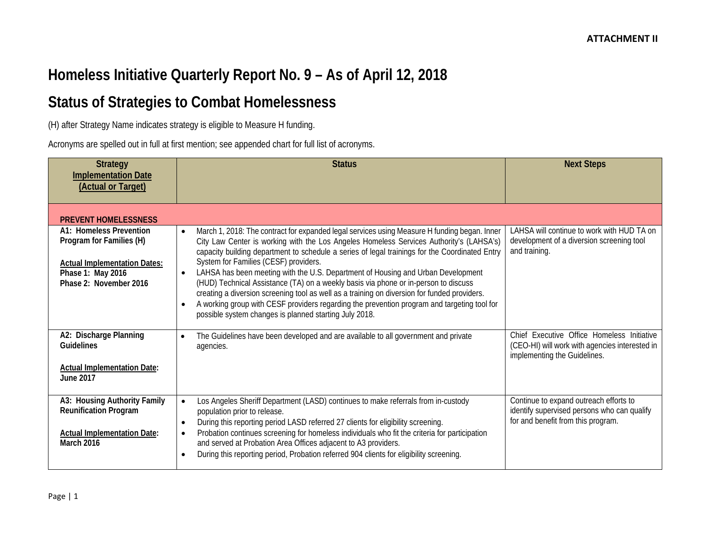# **Homeless Initiative Quarterly Report No. 9 – As of April 12, 2018**

## **Status of Strategies to Combat Homelessness**

(H) after Strategy Name indicates strategy is eligible to Measure H funding.

Acronyms are spelled out in full at first mention; see appended chart for full list of acronyms.

| <b>Strategy</b><br><b>Implementation Date</b><br>(Actual or Target)                                                                       | <b>Status</b>                                                                                                                                                                                                                                                                                                                                                                                                                                                                                                                                                                                                                                                                                                                                                                                                 | <b>Next Steps</b>                                                                                                            |
|-------------------------------------------------------------------------------------------------------------------------------------------|---------------------------------------------------------------------------------------------------------------------------------------------------------------------------------------------------------------------------------------------------------------------------------------------------------------------------------------------------------------------------------------------------------------------------------------------------------------------------------------------------------------------------------------------------------------------------------------------------------------------------------------------------------------------------------------------------------------------------------------------------------------------------------------------------------------|------------------------------------------------------------------------------------------------------------------------------|
| <b>PREVENT HOMELESSNESS</b>                                                                                                               |                                                                                                                                                                                                                                                                                                                                                                                                                                                                                                                                                                                                                                                                                                                                                                                                               |                                                                                                                              |
| A1: Homeless Prevention<br>Program for Families (H)<br><b>Actual Implementation Dates:</b><br>Phase 1: May 2016<br>Phase 2: November 2016 | March 1, 2018: The contract for expanded legal services using Measure H funding began. Inner<br>$\bullet$<br>City Law Center is working with the Los Angeles Homeless Services Authority's (LAHSA's)<br>capacity building department to schedule a series of legal trainings for the Coordinated Entry<br>System for Families (CESF) providers.<br>LAHSA has been meeting with the U.S. Department of Housing and Urban Development<br>$\bullet$<br>(HUD) Technical Assistance (TA) on a weekly basis via phone or in-person to discuss<br>creating a diversion screening tool as well as a training on diversion for funded providers.<br>A working group with CESF providers regarding the prevention program and targeting tool for<br>$\bullet$<br>possible system changes is planned starting July 2018. | LAHSA will continue to work with HUD TA on<br>development of a diversion screening tool<br>and training.                     |
| A2: Discharge Planning<br><b>Guidelines</b><br><b>Actual Implementation Date:</b><br><b>June 2017</b>                                     | The Guidelines have been developed and are available to all government and private<br>$\bullet$<br>agencies.                                                                                                                                                                                                                                                                                                                                                                                                                                                                                                                                                                                                                                                                                                  | Chief Executive Office Homeless Initiative<br>(CEO-HI) will work with agencies interested in<br>implementing the Guidelines. |
| A3: Housing Authority Family<br><b>Reunification Program</b><br><b>Actual Implementation Date:</b><br><b>March 2016</b>                   | Los Angeles Sheriff Department (LASD) continues to make referrals from in-custody<br>$\bullet$<br>population prior to release.<br>During this reporting period LASD referred 27 clients for eligibility screening.<br>$\bullet$<br>Probation continues screening for homeless individuals who fit the criteria for participation<br>$\bullet$<br>and served at Probation Area Offices adjacent to A3 providers.<br>During this reporting period, Probation referred 904 clients for eligibility screening.<br>$\bullet$                                                                                                                                                                                                                                                                                       | Continue to expand outreach efforts to<br>identify supervised persons who can qualify<br>for and benefit from this program.  |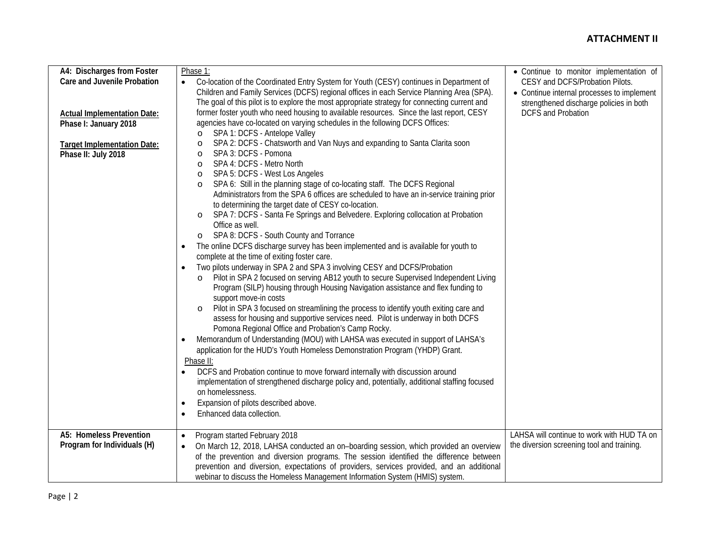### **ATTACHMENT II**

| A4: Discharges from Foster         | Phase 1:                                                                                                       | • Continue to monitor implementation of    |
|------------------------------------|----------------------------------------------------------------------------------------------------------------|--------------------------------------------|
| Care and Juvenile Probation        | Co-location of the Coordinated Entry System for Youth (CESY) continues in Department of<br>$\bullet$           | CESY and DCFS/Probation Pilots.            |
|                                    | Children and Family Services (DCFS) regional offices in each Service Planning Area (SPA).                      | • Continue internal processes to implement |
|                                    | The goal of this pilot is to explore the most appropriate strategy for connecting current and                  | strengthened discharge policies in both    |
| <b>Actual Implementation Date:</b> | former foster youth who need housing to available resources. Since the last report, CESY                       | <b>DCFS and Probation</b>                  |
| Phase I: January 2018              | agencies have co-located on varying schedules in the following DCFS Offices:                                   |                                            |
|                                    | SPA 1: DCFS - Antelope Valley<br>$\circ$                                                                       |                                            |
| <b>Target Implementation Date:</b> | SPA 2: DCFS - Chatsworth and Van Nuys and expanding to Santa Clarita soon<br>$\circ$                           |                                            |
| Phase II: July 2018                | SPA 3: DCFS - Pomona<br>$\circ$                                                                                |                                            |
|                                    | SPA 4: DCFS - Metro North<br>$\circ$                                                                           |                                            |
|                                    | SPA 5: DCFS - West Los Angeles<br>$\circ$                                                                      |                                            |
|                                    | SPA 6: Still in the planning stage of co-locating staff. The DCFS Regional<br>$\circ$                          |                                            |
|                                    | Administrators from the SPA 6 offices are scheduled to have an in-service training prior                       |                                            |
|                                    | to determining the target date of CESY co-location.                                                            |                                            |
|                                    | SPA 7: DCFS - Santa Fe Springs and Belvedere. Exploring collocation at Probation<br>$\circ$<br>Office as well. |                                            |
|                                    | SPA 8: DCFS - South County and Torrance<br>$\circ$                                                             |                                            |
|                                    | The online DCFS discharge survey has been implemented and is available for youth to                            |                                            |
|                                    | complete at the time of exiting foster care.                                                                   |                                            |
|                                    | Two pilots underway in SPA 2 and SPA 3 involving CESY and DCFS/Probation                                       |                                            |
|                                    | Pilot in SPA 2 focused on serving AB12 youth to secure Supervised Independent Living<br>$\circ$                |                                            |
|                                    | Program (SILP) housing through Housing Navigation assistance and flex funding to                               |                                            |
|                                    | support move-in costs                                                                                          |                                            |
|                                    | Pilot in SPA 3 focused on streamlining the process to identify youth exiting care and                          |                                            |
|                                    | assess for housing and supportive services need. Pilot is underway in both DCFS                                |                                            |
|                                    | Pomona Regional Office and Probation's Camp Rocky.                                                             |                                            |
|                                    | Memorandum of Understanding (MOU) with LAHSA was executed in support of LAHSA's<br>$\bullet$                   |                                            |
|                                    | application for the HUD's Youth Homeless Demonstration Program (YHDP) Grant.                                   |                                            |
|                                    | Phase II:                                                                                                      |                                            |
|                                    | DCFS and Probation continue to move forward internally with discussion around                                  |                                            |
|                                    | implementation of strengthened discharge policy and, potentially, additional staffing focused                  |                                            |
|                                    | on homelessness.                                                                                               |                                            |
|                                    | Expansion of pilots described above.<br>$\bullet$                                                              |                                            |
|                                    | Enhanced data collection.                                                                                      |                                            |
| A5: Homeless Prevention            | Program started February 2018<br>$\bullet$                                                                     | LAHSA will continue to work with HUD TA on |
| Program for Individuals (H)        | On March 12, 2018, LAHSA conducted an on-boarding session, which provided an overview<br>$\bullet$             | the diversion screening tool and training. |
|                                    | of the prevention and diversion programs. The session identified the difference between                        |                                            |
|                                    | prevention and diversion, expectations of providers, services provided, and an additional                      |                                            |
|                                    | webinar to discuss the Homeless Management Information System (HMIS) system.                                   |                                            |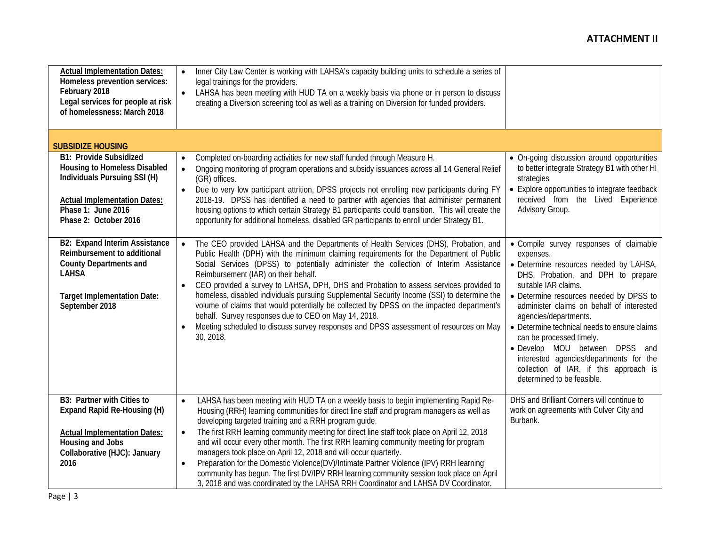| <b>Actual Implementation Dates:</b><br>Homeless prevention services:<br>February 2018<br>Legal services for people at risk<br>of homelessness: March 2018                    | Inner City Law Center is working with LAHSA's capacity building units to schedule a series of<br>$\bullet$<br>legal trainings for the providers.<br>LAHSA has been meeting with HUD TA on a weekly basis via phone or in person to discuss<br>creating a Diversion screening tool as well as a training on Diversion for funded providers.                                                                                                                                                                                                                                                                                                                                                                                                                                      |                                                                                                                                                                                                                                                                                                                                                                                                                                                                                                                |
|------------------------------------------------------------------------------------------------------------------------------------------------------------------------------|---------------------------------------------------------------------------------------------------------------------------------------------------------------------------------------------------------------------------------------------------------------------------------------------------------------------------------------------------------------------------------------------------------------------------------------------------------------------------------------------------------------------------------------------------------------------------------------------------------------------------------------------------------------------------------------------------------------------------------------------------------------------------------|----------------------------------------------------------------------------------------------------------------------------------------------------------------------------------------------------------------------------------------------------------------------------------------------------------------------------------------------------------------------------------------------------------------------------------------------------------------------------------------------------------------|
| <b>SUBSIDIZE HOUSING</b><br><b>B1: Provide Subsidized</b><br><b>Housing to Homeless Disabled</b><br>Individuals Pursuing SSI (H)                                             | Completed on-boarding activities for new staff funded through Measure H.<br>$\bullet$<br>Ongoing monitoring of program operations and subsidy issuances across all 14 General Relief<br>$\bullet$                                                                                                                                                                                                                                                                                                                                                                                                                                                                                                                                                                               | • On-going discussion around opportunities<br>to better integrate Strategy B1 with other HI                                                                                                                                                                                                                                                                                                                                                                                                                    |
| <b>Actual Implementation Dates:</b><br>Phase 1: June 2016<br>Phase 2: October 2016                                                                                           | (GR) offices.<br>Due to very low participant attrition, DPSS projects not enrolling new participants during FY<br>2018-19. DPSS has identified a need to partner with agencies that administer permanent<br>housing options to which certain Strategy B1 participants could transition. This will create the<br>opportunity for additional homeless, disabled GR participants to enroll under Strategy B1.                                                                                                                                                                                                                                                                                                                                                                      | strategies<br>• Explore opportunities to integrate feedback<br>received from the Lived Experience<br>Advisory Group.                                                                                                                                                                                                                                                                                                                                                                                           |
| <b>B2: Expand Interim Assistance</b><br>Reimbursement to additional<br><b>County Departments and</b><br><b>LAHSA</b><br><b>Target Implementation Date:</b><br>September 2018 | The CEO provided LAHSA and the Departments of Health Services (DHS), Probation, and<br>$\bullet$<br>Public Health (DPH) with the minimum claiming requirements for the Department of Public<br>Social Services (DPSS) to potentially administer the collection of Interim Assistance<br>Reimbursement (IAR) on their behalf.<br>CEO provided a survey to LAHSA, DPH, DHS and Probation to assess services provided to<br>homeless, disabled individuals pursuing Supplemental Security Income (SSI) to determine the<br>volume of claims that would potentially be collected by DPSS on the impacted department's<br>behalf. Survey responses due to CEO on May 14, 2018.<br>Meeting scheduled to discuss survey responses and DPSS assessment of resources on May<br>30, 2018. | · Compile survey responses of claimable<br>expenses.<br>• Determine resources needed by LAHSA,<br>DHS, Probation, and DPH to prepare<br>suitable IAR claims.<br>• Determine resources needed by DPSS to<br>administer claims on behalf of interested<br>agencies/departments.<br>• Determine technical needs to ensure claims<br>can be processed timely.<br>· Develop MOU between DPSS and<br>interested agencies/departments for the<br>collection of IAR, if this approach is<br>determined to be feasible. |
| B3: Partner with Cities to<br>Expand Rapid Re-Housing (H)                                                                                                                    | LAHSA has been meeting with HUD TA on a weekly basis to begin implementing Rapid Re-<br>$\bullet$<br>Housing (RRH) learning communities for direct line staff and program managers as well as<br>developing targeted training and a RRH program guide.<br>The first RRH learning community meeting for direct line staff took place on April 12, 2018                                                                                                                                                                                                                                                                                                                                                                                                                           | DHS and Brilliant Corners will continue to<br>work on agreements with Culver City and<br>Burbank.                                                                                                                                                                                                                                                                                                                                                                                                              |
| <b>Actual Implementation Dates:</b><br>Housing and Jobs<br>Collaborative (HJC): January<br>2016                                                                              | $\bullet$<br>and will occur every other month. The first RRH learning community meeting for program<br>managers took place on April 12, 2018 and will occur quarterly.<br>Preparation for the Domestic Violence(DV)/Intimate Partner Violence (IPV) RRH learning<br>$\bullet$<br>community has begun. The first DV/IPV RRH learning community session took place on April<br>3, 2018 and was coordinated by the LAHSA RRH Coordinator and LAHSA DV Coordinator.                                                                                                                                                                                                                                                                                                                 |                                                                                                                                                                                                                                                                                                                                                                                                                                                                                                                |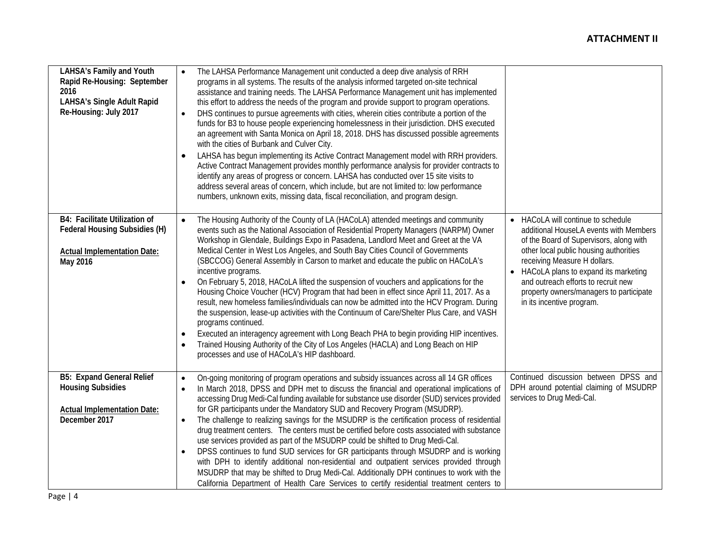| LAHSA's Family and Youth<br>Rapid Re-Housing: September<br>2016<br><b>LAHSA's Single Adult Rapid</b><br>Re-Housing: July 2017 | The LAHSA Performance Management unit conducted a deep dive analysis of RRH<br>$\bullet$<br>programs in all systems. The results of the analysis informed targeted on-site technical<br>assistance and training needs. The LAHSA Performance Management unit has implemented<br>this effort to address the needs of the program and provide support to program operations.<br>DHS continues to pursue agreements with cities, wherein cities contribute a portion of the<br>funds for B3 to house people experiencing homelessness in their jurisdiction. DHS executed<br>an agreement with Santa Monica on April 18, 2018. DHS has discussed possible agreements<br>with the cities of Burbank and Culver City.<br>LAHSA has begun implementing its Active Contract Management model with RRH providers.<br>$\bullet$<br>Active Contract Management provides monthly performance analysis for provider contracts to<br>identify any areas of progress or concern. LAHSA has conducted over 15 site visits to<br>address several areas of concern, which include, but are not limited to: low performance<br>numbers, unknown exits, missing data, fiscal reconciliation, and program design. |                                                                                                                                                                                                                                                                                                                                                                     |
|-------------------------------------------------------------------------------------------------------------------------------|-----------------------------------------------------------------------------------------------------------------------------------------------------------------------------------------------------------------------------------------------------------------------------------------------------------------------------------------------------------------------------------------------------------------------------------------------------------------------------------------------------------------------------------------------------------------------------------------------------------------------------------------------------------------------------------------------------------------------------------------------------------------------------------------------------------------------------------------------------------------------------------------------------------------------------------------------------------------------------------------------------------------------------------------------------------------------------------------------------------------------------------------------------------------------------------------------|---------------------------------------------------------------------------------------------------------------------------------------------------------------------------------------------------------------------------------------------------------------------------------------------------------------------------------------------------------------------|
| B4: Facilitate Utilization of<br>Federal Housing Subsidies (H)<br><b>Actual Implementation Date:</b><br>May 2016              | The Housing Authority of the County of LA (HACoLA) attended meetings and community<br>$\bullet$<br>events such as the National Association of Residential Property Managers (NARPM) Owner<br>Workshop in Glendale, Buildings Expo in Pasadena, Landlord Meet and Greet at the VA<br>Medical Center in West Los Angeles, and South Bay Cities Council of Governments<br>(SBCCOG) General Assembly in Carson to market and educate the public on HACoLA's<br>incentive programs.<br>On February 5, 2018, HACoLA lifted the suspension of vouchers and applications for the<br>$\bullet$<br>Housing Choice Voucher (HCV) Program that had been in effect since April 11, 2017. As a<br>result, new homeless families/individuals can now be admitted into the HCV Program. During<br>the suspension, lease-up activities with the Continuum of Care/Shelter Plus Care, and VASH<br>programs continued.<br>Executed an interagency agreement with Long Beach PHA to begin providing HIP incentives.<br>$\bullet$<br>Trained Housing Authority of the City of Los Angeles (HACLA) and Long Beach on HIP<br>$\bullet$<br>processes and use of HACoLA's HIP dashboard.                               | HACoLA will continue to schedule<br>$\bullet$<br>additional HouseLA events with Members<br>of the Board of Supervisors, along with<br>other local public housing authorities<br>receiving Measure H dollars.<br>HACoLA plans to expand its marketing<br>and outreach efforts to recruit new<br>property owners/managers to participate<br>in its incentive program. |
| <b>B5: Expand General Relief</b><br><b>Housing Subsidies</b><br><b>Actual Implementation Date:</b><br>December 2017           | On-going monitoring of program operations and subsidy issuances across all 14 GR offices<br>$\bullet$<br>In March 2018, DPSS and DPH met to discuss the financial and operational implications of<br>$\bullet$<br>accessing Drug Medi-Cal funding available for substance use disorder (SUD) services provided<br>for GR participants under the Mandatory SUD and Recovery Program (MSUDRP).<br>The challenge to realizing savings for the MSUDRP is the certification process of residential<br>$\bullet$<br>drug treatment centers. The centers must be certified before costs associated with substance<br>use services provided as part of the MSUDRP could be shifted to Drug Medi-Cal.<br>DPSS continues to fund SUD services for GR participants through MSUDRP and is working<br>$\bullet$<br>with DPH to identify additional non-residential and outpatient services provided through<br>MSUDRP that may be shifted to Drug Medi-Cal. Additionally DPH continues to work with the<br>California Department of Health Care Services to certify residential treatment centers to                                                                                                       | Continued discussion between DPSS and<br>DPH around potential claiming of MSUDRP<br>services to Drug Medi-Cal.                                                                                                                                                                                                                                                      |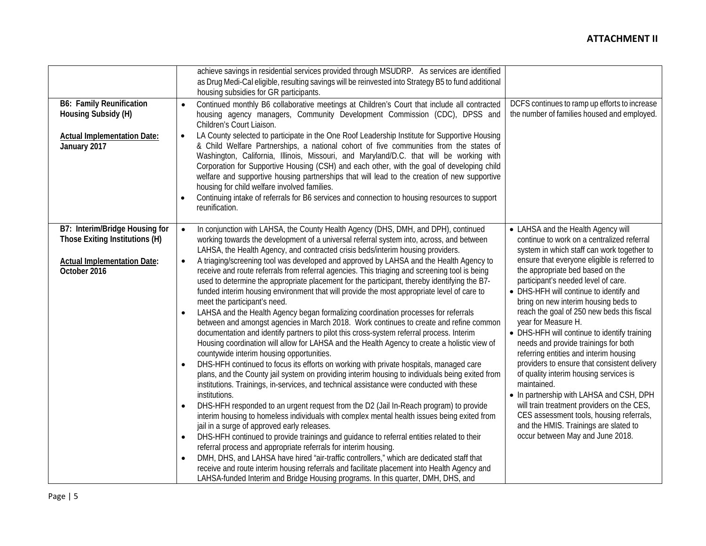|                                    | achieve savings in residential services provided through MSUDRP. As services are identified                |                                               |
|------------------------------------|------------------------------------------------------------------------------------------------------------|-----------------------------------------------|
|                                    | as Drug Medi-Cal eligible, resulting savings will be reinvested into Strategy B5 to fund additional        |                                               |
|                                    |                                                                                                            |                                               |
|                                    | housing subsidies for GR participants.                                                                     |                                               |
| <b>B6: Family Reunification</b>    | Continued monthly B6 collaborative meetings at Children's Court that include all contracted<br>$\bullet$   | DCFS continues to ramp up efforts to increase |
| Housing Subsidy (H)                | housing agency managers, Community Development Commission (CDC), DPSS and                                  | the number of families housed and employed.   |
|                                    | Children's Court Liaison.                                                                                  |                                               |
| <b>Actual Implementation Date:</b> | LA County selected to participate in the One Roof Leadership Institute for Supportive Housing<br>$\bullet$ |                                               |
| January 2017                       | & Child Welfare Partnerships, a national cohort of five communities from the states of                     |                                               |
|                                    | Washington, California, Illinois, Missouri, and Maryland/D.C. that will be working with                    |                                               |
|                                    | Corporation for Supportive Housing (CSH) and each other, with the goal of developing child                 |                                               |
|                                    | welfare and supportive housing partnerships that will lead to the creation of new supportive               |                                               |
|                                    | housing for child welfare involved families.                                                               |                                               |
|                                    | Continuing intake of referrals for B6 services and connection to housing resources to support              |                                               |
|                                    | reunification.                                                                                             |                                               |
|                                    |                                                                                                            |                                               |
| B7: Interim/Bridge Housing for     | In conjunction with LAHSA, the County Health Agency (DHS, DMH, and DPH), continued<br>$\bullet$            | • LAHSA and the Health Agency will            |
| Those Exiting Institutions (H)     | working towards the development of a universal referral system into, across, and between                   | continue to work on a centralized referral    |
|                                    | LAHSA, the Health Agency, and contracted crisis beds/interim housing providers.                            | system in which staff can work together to    |
| <b>Actual Implementation Date:</b> | A triaging/screening tool was developed and approved by LAHSA and the Health Agency to<br>$\bullet$        | ensure that everyone eligible is referred to  |
| October 2016                       | receive and route referrals from referral agencies. This triaging and screening tool is being              | the appropriate bed based on the              |
|                                    | used to determine the appropriate placement for the participant, thereby identifying the B7-               | participant's needed level of care.           |
|                                    | funded interim housing environment that will provide the most appropriate level of care to                 | • DHS-HFH will continue to identify and       |
|                                    | meet the participant's need.                                                                               | bring on new interim housing beds to          |
|                                    | LAHSA and the Health Agency began formalizing coordination processes for referrals<br>$\bullet$            | reach the goal of 250 new beds this fiscal    |
|                                    | between and amongst agencies in March 2018. Work continues to create and refine common                     | year for Measure H.                           |
|                                    | documentation and identify partners to pilot this cross-system referral process. Interim                   | • DHS-HFH will continue to identify training  |
|                                    | Housing coordination will allow for LAHSA and the Health Agency to create a holistic view of               | needs and provide trainings for both          |
|                                    | countywide interim housing opportunities.                                                                  | referring entities and interim housing        |
|                                    | DHS-HFH continued to focus its efforts on working with private hospitals, managed care                     | providers to ensure that consistent delivery  |
|                                    | plans, and the County jail system on providing interim housing to individuals being exited from            | of quality interim housing services is        |
|                                    | institutions. Trainings, in-services, and technical assistance were conducted with these                   | maintained.                                   |
|                                    | institutions.                                                                                              | • In partnership with LAHSA and CSH, DPH      |
|                                    | DHS-HFH responded to an urgent request from the D2 (Jail In-Reach program) to provide<br>$\bullet$         | will train treatment providers on the CES,    |
|                                    | interim housing to homeless individuals with complex mental health issues being exited from                | CES assessment tools, housing referrals,      |
|                                    | jail in a surge of approved early releases.                                                                | and the HMIS. Trainings are slated to         |
|                                    | DHS-HFH continued to provide trainings and guidance to referral entities related to their<br>$\bullet$     | occur between May and June 2018.              |
|                                    | referral process and appropriate referrals for interim housing.                                            |                                               |
|                                    | DMH, DHS, and LAHSA have hired "air-traffic controllers," which are dedicated staff that<br>$\bullet$      |                                               |
|                                    | receive and route interim housing referrals and facilitate placement into Health Agency and                |                                               |
|                                    | LAHSA-funded Interim and Bridge Housing programs. In this quarter, DMH, DHS, and                           |                                               |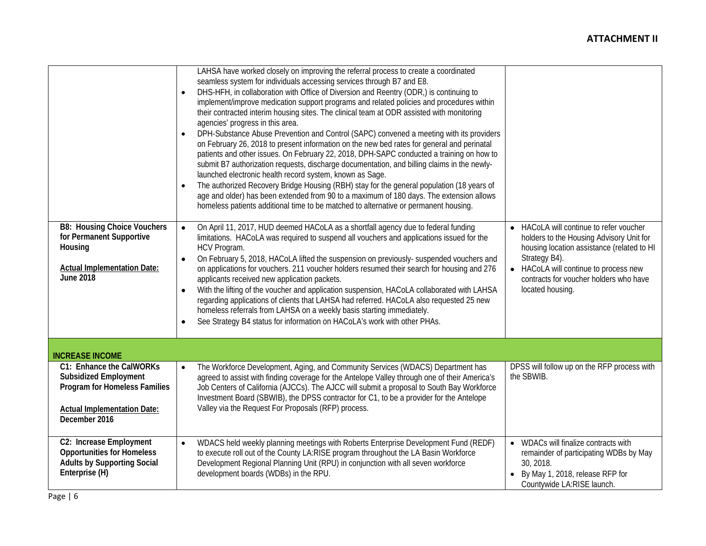|                                                                                                                                                  | LAHSA have worked closely on improving the referral process to create a coordinated<br>seamless system for individuals accessing services through B7 and E8.<br>DHS-HFH, in collaboration with Office of Diversion and Reentry (ODR,) is continuing to<br>implement/improve medication support programs and related policies and procedures within<br>their contracted interim housing sites. The clinical team at ODR assisted with monitoring<br>agencies' progress in this area.<br>DPH-Substance Abuse Prevention and Control (SAPC) convened a meeting with its providers<br>$\bullet$<br>on February 26, 2018 to present information on the new bed rates for general and perinatal<br>patients and other issues. On February 22, 2018, DPH-SAPC conducted a training on how to<br>submit B7 authorization requests, discharge documentation, and billing claims in the newly-<br>launched electronic health record system, known as Sage.<br>The authorized Recovery Bridge Housing (RBH) stay for the general population (18 years of<br>$\bullet$<br>age and older) has been extended from 90 to a maximum of 180 days. The extension allows<br>homeless patients additional time to be matched to alternative or permanent housing. |                                                                                                                                                                                                                                                                                 |
|--------------------------------------------------------------------------------------------------------------------------------------------------|-----------------------------------------------------------------------------------------------------------------------------------------------------------------------------------------------------------------------------------------------------------------------------------------------------------------------------------------------------------------------------------------------------------------------------------------------------------------------------------------------------------------------------------------------------------------------------------------------------------------------------------------------------------------------------------------------------------------------------------------------------------------------------------------------------------------------------------------------------------------------------------------------------------------------------------------------------------------------------------------------------------------------------------------------------------------------------------------------------------------------------------------------------------------------------------------------------------------------------------------------|---------------------------------------------------------------------------------------------------------------------------------------------------------------------------------------------------------------------------------------------------------------------------------|
| <b>B8: Housing Choice Vouchers</b><br>for Permanent Supportive<br>Housing<br><b>Actual Implementation Date:</b><br><b>June 2018</b>              | On April 11, 2017, HUD deemed HACoLA as a shortfall agency due to federal funding<br>$\bullet$<br>limitations. HACoLA was required to suspend all vouchers and applications issued for the<br>HCV Program.<br>On February 5, 2018, HACoLA lifted the suspension on previously- suspended vouchers and<br>$\bullet$<br>on applications for vouchers. 211 voucher holders resumed their search for housing and 276<br>applicants received new application packets.<br>With the lifting of the voucher and application suspension, HACoLA collaborated with LAHSA<br>$\bullet$<br>regarding applications of clients that LAHSA had referred. HACoLA also requested 25 new<br>homeless referrals from LAHSA on a weekly basis starting immediately.<br>See Strategy B4 status for information on HACoLA's work with other PHAs.<br>$\bullet$                                                                                                                                                                                                                                                                                                                                                                                                      | HACoLA will continue to refer voucher<br>$\bullet$<br>holders to the Housing Advisory Unit for<br>housing location assistance (related to HI<br>Strategy B4).<br>HACoLA will continue to process new<br>$\bullet$<br>contracts for voucher holders who have<br>located housing. |
| <b>INCREASE INCOME</b>                                                                                                                           |                                                                                                                                                                                                                                                                                                                                                                                                                                                                                                                                                                                                                                                                                                                                                                                                                                                                                                                                                                                                                                                                                                                                                                                                                                               |                                                                                                                                                                                                                                                                                 |
| C1: Enhance the CalWORKs<br><b>Subsidized Employment</b><br>Program for Homeless Families<br><b>Actual Implementation Date:</b><br>December 2016 | The Workforce Development, Aging, and Community Services (WDACS) Department has<br>$\bullet$<br>agreed to assist with finding coverage for the Antelope Valley through one of their America's<br>Job Centers of California (AJCCs). The AJCC will submit a proposal to South Bay Workforce<br>Investment Board (SBWIB), the DPSS contractor for C1, to be a provider for the Antelope<br>Valley via the Request For Proposals (RFP) process.                                                                                                                                                                                                                                                                                                                                                                                                                                                                                                                                                                                                                                                                                                                                                                                                  | DPSS will follow up on the RFP process with<br>the SBWIB.                                                                                                                                                                                                                       |
| C2: Increase Employment<br><b>Opportunities for Homeless</b><br><b>Adults by Supporting Social</b><br>Enterprise (H)                             | WDACS held weekly planning meetings with Roberts Enterprise Development Fund (REDF)<br>$\bullet$<br>to execute roll out of the County LA:RISE program throughout the LA Basin Workforce<br>Development Regional Planning Unit (RPU) in conjunction with all seven workforce<br>development boards (WDBs) in the RPU.                                                                                                                                                                                                                                                                                                                                                                                                                                                                                                                                                                                                                                                                                                                                                                                                                                                                                                                          | WDACs will finalize contracts with<br>$\bullet$<br>remainder of participating WDBs by May<br>30, 2018.<br>By May 1, 2018, release RFP for<br>Countywide LA:RISE launch.                                                                                                         |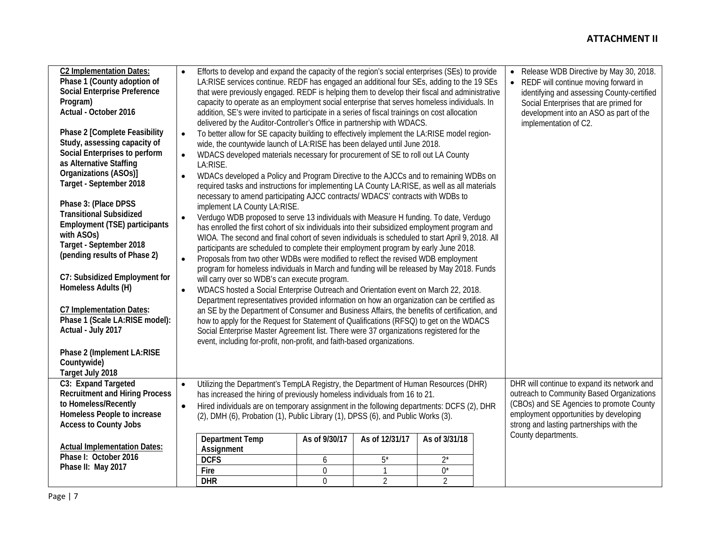### **ATTACHMENT II**

| <b>C2 Implementation Dates:</b><br>Phase 1 (County adoption of<br><b>Social Enterprise Preference</b><br>Program)<br>Actual - October 2016                                                                     | $\bullet$              | Efforts to develop and expand the capacity of the region's social enterprises (SEs) to provide<br>LA:RISE services continue. REDF has engaged an additional four SEs, adding to the 19 SEs<br>that were previously engaged. REDF is helping them to develop their fiscal and administrative<br>capacity to operate as an employment social enterprise that serves homeless individuals. In<br>addition, SE's were invited to participate in a series of fiscal trainings on cost allocation<br>delivered by the Auditor-Controller's Office in partnership with WDACS.                                                                                                                                                                |                  |                |                | Release WDB Directive by May 30, 2018.<br>$\bullet$<br>• REDF will continue moving forward in<br>identifying and assessing County-certified<br>Social Enterprises that are primed for<br>development into an ASO as part of the<br>implementation of C2. |
|----------------------------------------------------------------------------------------------------------------------------------------------------------------------------------------------------------------|------------------------|---------------------------------------------------------------------------------------------------------------------------------------------------------------------------------------------------------------------------------------------------------------------------------------------------------------------------------------------------------------------------------------------------------------------------------------------------------------------------------------------------------------------------------------------------------------------------------------------------------------------------------------------------------------------------------------------------------------------------------------|------------------|----------------|----------------|----------------------------------------------------------------------------------------------------------------------------------------------------------------------------------------------------------------------------------------------------------|
| Phase 2 [Complete Feasibility<br>Study, assessing capacity of<br>Social Enterprises to perform<br>as Alternative Staffing<br>Organizations (ASOs)]<br>Target - September 2018                                  | $\bullet$              | To better allow for SE capacity building to effectively implement the LA:RISE model region-<br>wide, the countywide launch of LA:RISE has been delayed until June 2018.<br>WDACS developed materials necessary for procurement of SE to roll out LA County<br>LA:RISE.<br>WDACs developed a Policy and Program Directive to the AJCCs and to remaining WDBs on<br>required tasks and instructions for implementing LA County LA:RISE, as well as all materials                                                                                                                                                                                                                                                                        |                  |                |                |                                                                                                                                                                                                                                                          |
| Phase 3: (Place DPSS<br><b>Transitional Subsidized</b><br>Employment (TSE) participants<br>with ASO <sub>S</sub> )<br>Target - September 2018<br>(pending results of Phase 2)<br>C7: Subsidized Employment for | $\bullet$<br>$\bullet$ | necessary to amend participating AJCC contracts/ WDACS' contracts with WDBs to<br>implement LA County LA:RISE.<br>Verdugo WDB proposed to serve 13 individuals with Measure H funding. To date, Verdugo<br>has enrolled the first cohort of six individuals into their subsidized employment program and<br>WIOA. The second and final cohort of seven individuals is scheduled to start April 9, 2018. All<br>participants are scheduled to complete their employment program by early June 2018.<br>Proposals from two other WDBs were modified to reflect the revised WDB employment<br>program for homeless individuals in March and funding will be released by May 2018. Funds<br>will carry over so WDB's can execute program. |                  |                |                |                                                                                                                                                                                                                                                          |
| Homeless Adults (H)<br><b>C7 Implementation Dates:</b><br>Phase 1 (Scale LA:RISE model):<br>Actual - July 2017<br>Phase 2 (Implement LA:RISE<br>Countywide)                                                    | $\bullet$              | WDACS hosted a Social Enterprise Outreach and Orientation event on March 22, 2018.<br>Department representatives provided information on how an organization can be certified as<br>an SE by the Department of Consumer and Business Affairs, the benefits of certification, and<br>how to apply for the Request for Statement of Qualifications (RFSQ) to get on the WDACS<br>Social Enterprise Master Agreement list. There were 37 organizations registered for the<br>event, including for-profit, non-profit, and faith-based organizations.                                                                                                                                                                                     |                  |                |                |                                                                                                                                                                                                                                                          |
| Target July 2018                                                                                                                                                                                               |                        |                                                                                                                                                                                                                                                                                                                                                                                                                                                                                                                                                                                                                                                                                                                                       |                  |                |                |                                                                                                                                                                                                                                                          |
| C3: Expand Targeted<br><b>Recruitment and Hiring Process</b><br>to Homeless/Recently<br>Homeless People to increase<br><b>Access to County Jobs</b>                                                            | $\bullet$<br>$\bullet$ | Utilizing the Department's TempLA Registry, the Department of Human Resources (DHR)<br>has increased the hiring of previously homeless individuals from 16 to 21.<br>Hired individuals are on temporary assignment in the following departments: DCFS (2), DHR<br>(2), DMH (6), Probation (1), Public Library (1), DPSS (6), and Public Works (3).                                                                                                                                                                                                                                                                                                                                                                                    |                  |                |                | DHR will continue to expand its network and<br>outreach to Community Based Organizations<br>(CBOs) and SE Agencies to promote County<br>employment opportunities by developing<br>strong and lasting partnerships with the                               |
| <b>Actual Implementation Dates:</b>                                                                                                                                                                            |                        | <b>Department Temp</b><br>Assignment                                                                                                                                                                                                                                                                                                                                                                                                                                                                                                                                                                                                                                                                                                  | As of 9/30/17    | As of 12/31/17 | As of 3/31/18  | County departments.                                                                                                                                                                                                                                      |
| Phase I: October 2016                                                                                                                                                                                          |                        | <b>DCFS</b>                                                                                                                                                                                                                                                                                                                                                                                                                                                                                                                                                                                                                                                                                                                           | $\boldsymbol{6}$ | $5^*$          | $2^*$          |                                                                                                                                                                                                                                                          |
| Phase II: May 2017                                                                                                                                                                                             |                        | Fire                                                                                                                                                                                                                                                                                                                                                                                                                                                                                                                                                                                                                                                                                                                                  | $\mathbf 0$      |                | $0^*$          |                                                                                                                                                                                                                                                          |
|                                                                                                                                                                                                                |                        | <b>DHR</b>                                                                                                                                                                                                                                                                                                                                                                                                                                                                                                                                                                                                                                                                                                                            | $\mathbf 0$      | $\overline{2}$ | $\overline{2}$ |                                                                                                                                                                                                                                                          |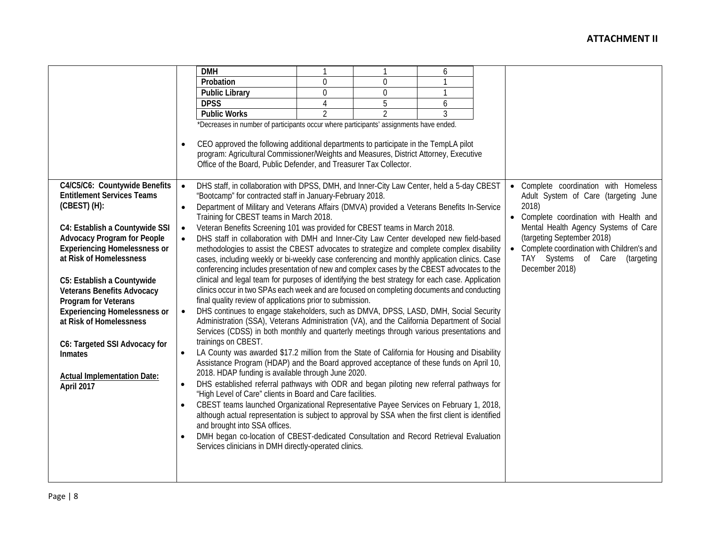|                                     |           | <b>DMH</b>                                                                                       |                |                | 6 |                                           |
|-------------------------------------|-----------|--------------------------------------------------------------------------------------------------|----------------|----------------|---|-------------------------------------------|
|                                     |           | Probation                                                                                        | $\mathbf 0$    | 0              |   |                                           |
|                                     |           | <b>Public Library</b>                                                                            | $\mathbf 0$    | 0              | 1 |                                           |
|                                     |           | <b>DPSS</b>                                                                                      | 4              | 5              | 6 |                                           |
|                                     |           | <b>Public Works</b>                                                                              | $\overline{2}$ | $\overline{2}$ | 3 |                                           |
|                                     |           | *Decreases in number of participants occur where participants' assignments have ended.           |                |                |   |                                           |
|                                     | $\bullet$ | CEO approved the following additional departments to participate in the TempLA pilot             |                |                |   |                                           |
|                                     |           | program: Agricultural Commissioner/Weights and Measures, District Attorney, Executive            |                |                |   |                                           |
|                                     |           | Office of the Board, Public Defender, and Treasurer Tax Collector.                               |                |                |   |                                           |
|                                     |           |                                                                                                  |                |                |   |                                           |
| C4/C5/C6: Countywide Benefits       | $\bullet$ | DHS staff, in collaboration with DPSS, DMH, and Inner-City Law Center, held a 5-day CBEST        |                |                |   | • Complete coordination with Homeless     |
| <b>Entitlement Services Teams</b>   |           | "Bootcamp" for contracted staff in January-February 2018.                                        |                |                |   | Adult System of Care (targeting June      |
| $(CBEST)$ $(H)$ :                   | $\bullet$ | Department of Military and Veterans Affairs (DMVA) provided a Veterans Benefits In-Service       |                |                |   | 2018)                                     |
|                                     |           | Training for CBEST teams in March 2018.                                                          |                |                |   | • Complete coordination with Health and   |
| C4: Establish a Countywide SSI      | $\bullet$ | Veteran Benefits Screening 101 was provided for CBEST teams in March 2018.                       |                |                |   | Mental Health Agency Systems of Care      |
| <b>Advocacy Program for People</b>  | $\bullet$ | DHS staff in collaboration with DMH and Inner-City Law Center developed new field-based          |                |                |   | (targeting September 2018)                |
| <b>Experiencing Homelessness or</b> |           | methodologies to assist the CBEST advocates to strategize and complete complex disability        |                |                |   | Complete coordination with Children's and |
| at Risk of Homelessness             |           | cases, including weekly or bi-weekly case conferencing and monthly application clinics. Case     |                |                |   | TAY Systems of Care (targeting            |
|                                     |           | conferencing includes presentation of new and complex cases by the CBEST advocates to the        |                |                |   | December 2018)                            |
| C5: Establish a Countywide          |           | clinical and legal team for purposes of identifying the best strategy for each case. Application |                |                |   |                                           |
| <b>Veterans Benefits Advocacy</b>   |           | clinics occur in two SPAs each week and are focused on completing documents and conducting       |                |                |   |                                           |
| Program for Veterans                |           | final quality review of applications prior to submission.                                        |                |                |   |                                           |
| <b>Experiencing Homelessness or</b> | $\bullet$ | DHS continues to engage stakeholders, such as DMVA, DPSS, LASD, DMH, Social Security             |                |                |   |                                           |
| at Risk of Homelessness             |           | Administration (SSA), Veterans Administration (VA), and the California Department of Social      |                |                |   |                                           |
|                                     |           | Services (CDSS) in both monthly and quarterly meetings through various presentations and         |                |                |   |                                           |
| C6: Targeted SSI Advocacy for       |           | trainings on CBEST.                                                                              |                |                |   |                                           |
| <b>Inmates</b>                      | $\bullet$ | LA County was awarded \$17.2 million from the State of California for Housing and Disability     |                |                |   |                                           |
|                                     |           | Assistance Program (HDAP) and the Board approved acceptance of these funds on April 10,          |                |                |   |                                           |
| <b>Actual Implementation Date:</b>  |           | 2018. HDAP funding is available through June 2020.                                               |                |                |   |                                           |
| April 2017                          | $\bullet$ | DHS established referral pathways with ODR and began piloting new referral pathways for          |                |                |   |                                           |
|                                     |           | "High Level of Care" clients in Board and Care facilities.                                       |                |                |   |                                           |
|                                     | $\bullet$ | CBEST teams launched Organizational Representative Payee Services on February 1, 2018,           |                |                |   |                                           |
|                                     |           | although actual representation is subject to approval by SSA when the first client is identified |                |                |   |                                           |
|                                     |           | and brought into SSA offices.                                                                    |                |                |   |                                           |
|                                     | $\bullet$ | DMH began co-location of CBEST-dedicated Consultation and Record Retrieval Evaluation            |                |                |   |                                           |
|                                     |           | Services clinicians in DMH directly-operated clinics.                                            |                |                |   |                                           |
|                                     |           |                                                                                                  |                |                |   |                                           |
|                                     |           |                                                                                                  |                |                |   |                                           |
|                                     |           |                                                                                                  |                |                |   |                                           |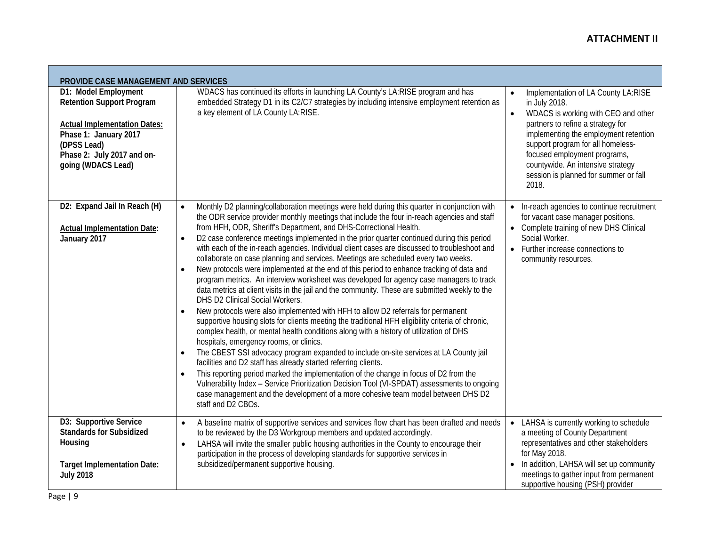÷

| PROVIDE CASE MANAGEMENT AND SERVICES                                                                                                                                                        |                                                                                                                                                                                                                                                                                                                                                                                                                                                                                                                                                                                                                                                                                                                                                                                                                                                                                                                                                                                                                                                                                                                                                                                                                                                                                                                                                                                                                                                                                                                                                                                                                                                                                                                                  |                                                                                                                                                                                                                                                                                                                                                                 |
|---------------------------------------------------------------------------------------------------------------------------------------------------------------------------------------------|----------------------------------------------------------------------------------------------------------------------------------------------------------------------------------------------------------------------------------------------------------------------------------------------------------------------------------------------------------------------------------------------------------------------------------------------------------------------------------------------------------------------------------------------------------------------------------------------------------------------------------------------------------------------------------------------------------------------------------------------------------------------------------------------------------------------------------------------------------------------------------------------------------------------------------------------------------------------------------------------------------------------------------------------------------------------------------------------------------------------------------------------------------------------------------------------------------------------------------------------------------------------------------------------------------------------------------------------------------------------------------------------------------------------------------------------------------------------------------------------------------------------------------------------------------------------------------------------------------------------------------------------------------------------------------------------------------------------------------|-----------------------------------------------------------------------------------------------------------------------------------------------------------------------------------------------------------------------------------------------------------------------------------------------------------------------------------------------------------------|
| D1: Model Employment<br><b>Retention Support Program</b><br><b>Actual Implementation Dates:</b><br>Phase 1: January 2017<br>(DPSS Lead)<br>Phase 2: July 2017 and on-<br>going (WDACS Lead) | WDACS has continued its efforts in launching LA County's LA:RISE program and has<br>embedded Strategy D1 in its C2/C7 strategies by including intensive employment retention as<br>a key element of LA County LA:RISE.                                                                                                                                                                                                                                                                                                                                                                                                                                                                                                                                                                                                                                                                                                                                                                                                                                                                                                                                                                                                                                                                                                                                                                                                                                                                                                                                                                                                                                                                                                           | Implementation of LA County LA:RISE<br>$\bullet$<br>in July 2018.<br>WDACS is working with CEO and other<br>$\bullet$<br>partners to refine a strategy for<br>implementing the employment retention<br>support program for all homeless-<br>focused employment programs,<br>countywide. An intensive strategy<br>session is planned for summer or fall<br>2018. |
| D2: Expand Jail In Reach (H)<br><b>Actual Implementation Date:</b><br>January 2017                                                                                                          | Monthly D2 planning/collaboration meetings were held during this quarter in conjunction with<br>$\bullet$<br>the ODR service provider monthly meetings that include the four in-reach agencies and staff<br>from HFH, ODR, Sheriff's Department, and DHS-Correctional Health.<br>D2 case conference meetings implemented in the prior quarter continued during this period<br>$\bullet$<br>with each of the in-reach agencies. Individual client cases are discussed to troubleshoot and<br>collaborate on case planning and services. Meetings are scheduled every two weeks.<br>New protocols were implemented at the end of this period to enhance tracking of data and<br>$\bullet$<br>program metrics. An interview worksheet was developed for agency case managers to track<br>data metrics at client visits in the jail and the community. These are submitted weekly to the<br>DHS D2 Clinical Social Workers.<br>New protocols were also implemented with HFH to allow D2 referrals for permanent<br>$\bullet$<br>supportive housing slots for clients meeting the traditional HFH eligibility criteria of chronic,<br>complex health, or mental health conditions along with a history of utilization of DHS<br>hospitals, emergency rooms, or clinics.<br>The CBEST SSI advocacy program expanded to include on-site services at LA County jail<br>facilities and D2 staff has already started referring clients.<br>This reporting period marked the implementation of the change in focus of D2 from the<br>Vulnerability Index - Service Prioritization Decision Tool (VI-SPDAT) assessments to ongoing<br>case management and the development of a more cohesive team model between DHS D2<br>staff and D2 CBOs. | • In-reach agencies to continue recruitment<br>for vacant case manager positions.<br>• Complete training of new DHS Clinical<br>Social Worker.<br>• Further increase connections to<br>community resources.                                                                                                                                                     |
| D3: Supportive Service<br><b>Standards for Subsidized</b><br>Housing<br><b>Target Implementation Date:</b><br><b>July 2018</b>                                                              | A baseline matrix of supportive services and services flow chart has been drafted and needs<br>$\bullet$<br>to be reviewed by the D3 Workgroup members and updated accordingly.<br>LAHSA will invite the smaller public housing authorities in the County to encourage their<br>$\bullet$<br>participation in the process of developing standards for supportive services in<br>subsidized/permanent supportive housing.                                                                                                                                                                                                                                                                                                                                                                                                                                                                                                                                                                                                                                                                                                                                                                                                                                                                                                                                                                                                                                                                                                                                                                                                                                                                                                         | • LAHSA is currently working to schedule<br>a meeting of County Department<br>representatives and other stakeholders<br>for May 2018.<br>• In addition, LAHSA will set up community<br>meetings to gather input from permanent<br>supportive housing (PSH) provider                                                                                             |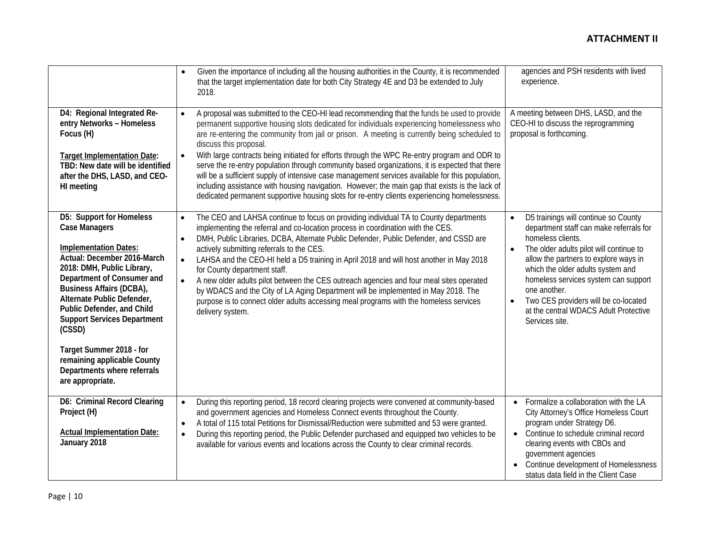|                                                                                                                                                                                                                                                                                                                                                                                                                                          | Given the importance of including all the housing authorities in the County, it is recommended<br>$\bullet$<br>that the target implementation date for both City Strategy 4E and D3 be extended to July<br>2018.                                                                                                                                                                                                                                                                                                                                                                                                                                                                                                                                                                                                                        | agencies and PSH residents with lived<br>experience.                                                                                                                                                                                                                                                                                                                                                                            |
|------------------------------------------------------------------------------------------------------------------------------------------------------------------------------------------------------------------------------------------------------------------------------------------------------------------------------------------------------------------------------------------------------------------------------------------|-----------------------------------------------------------------------------------------------------------------------------------------------------------------------------------------------------------------------------------------------------------------------------------------------------------------------------------------------------------------------------------------------------------------------------------------------------------------------------------------------------------------------------------------------------------------------------------------------------------------------------------------------------------------------------------------------------------------------------------------------------------------------------------------------------------------------------------------|---------------------------------------------------------------------------------------------------------------------------------------------------------------------------------------------------------------------------------------------------------------------------------------------------------------------------------------------------------------------------------------------------------------------------------|
| D4: Regional Integrated Re-<br>entry Networks - Homeless<br>Focus (H)<br><b>Target Implementation Date:</b><br>TBD: New date will be identified<br>after the DHS, LASD, and CEO-<br>HI meeting                                                                                                                                                                                                                                           | A proposal was submitted to the CEO-HI lead recommending that the funds be used to provide<br>permanent supportive housing slots dedicated for individuals experiencing homelessness who<br>are re-entering the community from jail or prison. A meeting is currently being scheduled to<br>discuss this proposal.<br>With large contracts being initiated for efforts through the WPC Re-entry program and ODR to<br>$\bullet$<br>serve the re-entry population through community based organizations, it is expected that there<br>will be a sufficient supply of intensive case management services available for this population,<br>including assistance with housing navigation. However; the main gap that exists is the lack of<br>dedicated permanent supportive housing slots for re-entry clients experiencing homelessness. | A meeting between DHS, LASD, and the<br>CEO-HI to discuss the reprogramming<br>proposal is forthcoming.                                                                                                                                                                                                                                                                                                                         |
| D5: Support for Homeless<br><b>Case Managers</b><br><b>Implementation Dates:</b><br>Actual: December 2016-March<br>2018: DMH, Public Library,<br>Department of Consumer and<br><b>Business Affairs (DCBA),</b><br>Alternate Public Defender,<br>Public Defender, and Child<br><b>Support Services Department</b><br>(CSSD)<br>Target Summer 2018 - for<br>remaining applicable County<br>Departments where referrals<br>are appropriate. | The CEO and LAHSA continue to focus on providing individual TA to County departments<br>$\bullet$<br>implementing the referral and co-location process in coordination with the CES.<br>DMH, Public Libraries, DCBA, Alternate Public Defender, Public Defender, and CSSD are<br>$\bullet$<br>actively submitting referrals to the CES.<br>LAHSA and the CEO-HI held a D5 training in April 2018 and will host another in May 2018<br>$\bullet$<br>for County department staff.<br>A new older adults pilot between the CES outreach agencies and four meal sites operated<br>$\bullet$<br>by WDACS and the City of LA Aging Department will be implemented in May 2018. The<br>purpose is to connect older adults accessing meal programs with the homeless services<br>delivery system.                                               | D5 trainings will continue so County<br>$\bullet$<br>department staff can make referrals for<br>homeless clients.<br>The older adults pilot will continue to<br>$\bullet$<br>allow the partners to explore ways in<br>which the older adults system and<br>homeless services system can support<br>one another.<br>Two CES providers will be co-located<br>$\bullet$<br>at the central WDACS Adult Protective<br>Services site. |
| D6: Criminal Record Clearing<br>Project (H)<br><b>Actual Implementation Date:</b><br>January 2018                                                                                                                                                                                                                                                                                                                                        | During this reporting period, 18 record clearing projects were convened at community-based<br>$\bullet$<br>and government agencies and Homeless Connect events throughout the County.<br>A total of 115 total Petitions for Dismissal/Reduction were submitted and 53 were granted.<br>$\bullet$<br>During this reporting period, the Public Defender purchased and equipped two vehicles to be<br>$\bullet$<br>available for various events and locations across the County to clear criminal records.                                                                                                                                                                                                                                                                                                                                 | • Formalize a collaboration with the LA<br>City Attorney's Office Homeless Court<br>program under Strategy D6.<br>• Continue to schedule criminal record<br>clearing events with CBOs and<br>government agencies<br>• Continue development of Homelessness<br>status data field in the Client Case                                                                                                                              |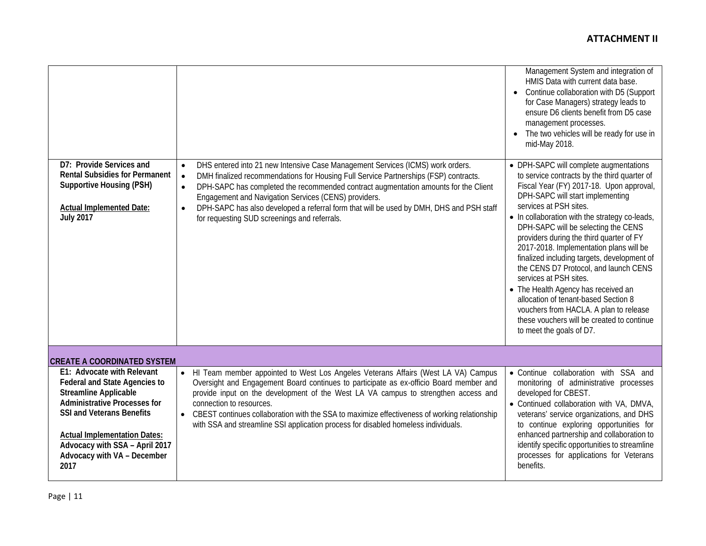|                                                                                                                                                                                                                                                                                               |                                                                                                                                                                                                                                                                                                                                                                                                                                                                                                                      | Management System and integration of<br>HMIS Data with current data base.<br>Continue collaboration with D5 (Support<br>for Case Managers) strategy leads to<br>ensure D6 clients benefit from D5 case<br>management processes.<br>The two vehicles will be ready for use in<br>mid-May 2018.                                                                                                                                                                                                                                                                                                                                                                                                         |
|-----------------------------------------------------------------------------------------------------------------------------------------------------------------------------------------------------------------------------------------------------------------------------------------------|----------------------------------------------------------------------------------------------------------------------------------------------------------------------------------------------------------------------------------------------------------------------------------------------------------------------------------------------------------------------------------------------------------------------------------------------------------------------------------------------------------------------|-------------------------------------------------------------------------------------------------------------------------------------------------------------------------------------------------------------------------------------------------------------------------------------------------------------------------------------------------------------------------------------------------------------------------------------------------------------------------------------------------------------------------------------------------------------------------------------------------------------------------------------------------------------------------------------------------------|
| D7: Provide Services and<br><b>Rental Subsidies for Permanent</b><br><b>Supportive Housing (PSH)</b><br><b>Actual Implemented Date:</b><br><b>July 2017</b>                                                                                                                                   | DHS entered into 21 new Intensive Case Management Services (ICMS) work orders.<br>$\bullet$<br>DMH finalized recommendations for Housing Full Service Partnerships (FSP) contracts.<br>$\bullet$<br>DPH-SAPC has completed the recommended contract augmentation amounts for the Client<br>$\bullet$<br>Engagement and Navigation Services (CENS) providers.<br>DPH-SAPC has also developed a referral form that will be used by DMH, DHS and PSH staff<br>$\bullet$<br>for requesting SUD screenings and referrals. | • DPH-SAPC will complete augmentations<br>to service contracts by the third quarter of<br>Fiscal Year (FY) 2017-18. Upon approval,<br>DPH-SAPC will start implementing<br>services at PSH sites.<br>• In collaboration with the strategy co-leads,<br>DPH-SAPC will be selecting the CENS<br>providers during the third quarter of FY<br>2017-2018. Implementation plans will be<br>finalized including targets, development of<br>the CENS D7 Protocol, and launch CENS<br>services at PSH sites.<br>• The Health Agency has received an<br>allocation of tenant-based Section 8<br>vouchers from HACLA. A plan to release<br>these vouchers will be created to continue<br>to meet the goals of D7. |
| <b>CREATE A COORDINATED SYSTEM</b>                                                                                                                                                                                                                                                            |                                                                                                                                                                                                                                                                                                                                                                                                                                                                                                                      |                                                                                                                                                                                                                                                                                                                                                                                                                                                                                                                                                                                                                                                                                                       |
| E1: Advocate with Relevant<br><b>Federal and State Agencies to</b><br><b>Streamline Applicable</b><br><b>Administrative Processes for</b><br><b>SSI and Veterans Benefits</b><br><b>Actual Implementation Dates:</b><br>Advocacy with SSA - April 2017<br>Advocacy with VA - December<br>2017 | HI Team member appointed to West Los Angeles Veterans Affairs (West LA VA) Campus<br>$\bullet$<br>Oversight and Engagement Board continues to participate as ex-officio Board member and<br>provide input on the development of the West LA VA campus to strengthen access and<br>connection to resources.<br>• CBEST continues collaboration with the SSA to maximize effectiveness of working relationship<br>with SSA and streamline SSI application process for disabled homeless individuals.                   | • Continue collaboration with SSA and<br>monitoring of administrative processes<br>developed for CBEST.<br>• Continued collaboration with VA, DMVA,<br>veterans' service organizations, and DHS<br>to continue exploring opportunities for<br>enhanced partnership and collaboration to<br>identify specific opportunities to streamline<br>processes for applications for Veterans<br>benefits.                                                                                                                                                                                                                                                                                                      |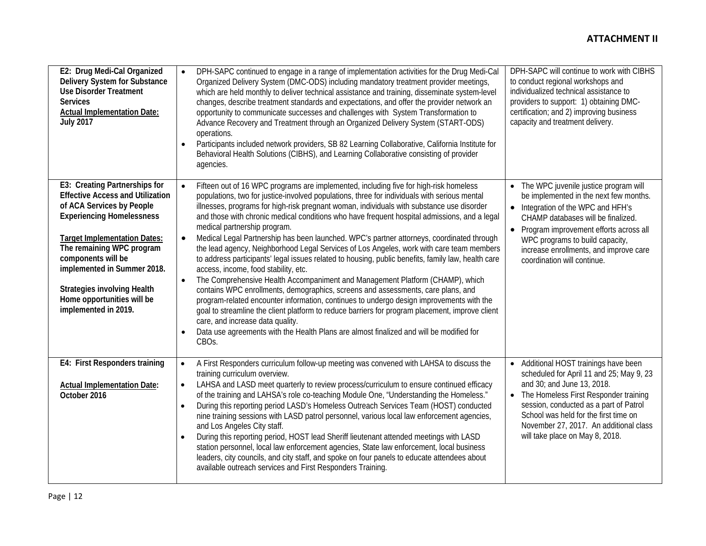| E2: Drug Medi-Cal Organized<br>Delivery System for Substance<br><b>Use Disorder Treatment</b><br><b>Services</b><br><b>Actual Implementation Date:</b><br><b>July 2017</b>                                                                                                                                                                                     | DPH-SAPC continued to engage in a range of implementation activities for the Drug Medi-Cal<br>$\bullet$<br>Organized Delivery System (DMC-ODS) including mandatory treatment provider meetings,<br>which are held monthly to deliver technical assistance and training, disseminate system-level<br>changes, describe treatment standards and expectations, and offer the provider network an<br>opportunity to communicate successes and challenges with System Transformation to<br>Advance Recovery and Treatment through an Organized Delivery System (START-ODS)<br>operations.<br>Participants included network providers, SB 82 Learning Collaborative, California Institute for<br>Behavioral Health Solutions (CIBHS), and Learning Collaborative consisting of provider<br>agencies.                                                                                                                                                                                                                                                                                                                                                                                                                                                                                                                            | DPH-SAPC will continue to work with CIBHS<br>to conduct regional workshops and<br>individualized technical assistance to<br>providers to support: 1) obtaining DMC-<br>certification; and 2) improving business<br>capacity and treatment delivery.                                                                      |
|----------------------------------------------------------------------------------------------------------------------------------------------------------------------------------------------------------------------------------------------------------------------------------------------------------------------------------------------------------------|---------------------------------------------------------------------------------------------------------------------------------------------------------------------------------------------------------------------------------------------------------------------------------------------------------------------------------------------------------------------------------------------------------------------------------------------------------------------------------------------------------------------------------------------------------------------------------------------------------------------------------------------------------------------------------------------------------------------------------------------------------------------------------------------------------------------------------------------------------------------------------------------------------------------------------------------------------------------------------------------------------------------------------------------------------------------------------------------------------------------------------------------------------------------------------------------------------------------------------------------------------------------------------------------------------------------------|--------------------------------------------------------------------------------------------------------------------------------------------------------------------------------------------------------------------------------------------------------------------------------------------------------------------------|
| E3: Creating Partnerships for<br><b>Effective Access and Utilization</b><br>of ACA Services by People<br><b>Experiencing Homelessness</b><br><b>Target Implementation Dates:</b><br>The remaining WPC program<br>components will be<br>implemented in Summer 2018.<br><b>Strategies involving Health</b><br>Home opportunities will be<br>implemented in 2019. | Fifteen out of 16 WPC programs are implemented, including five for high-risk homeless<br>$\bullet$<br>populations, two for justice-involved populations, three for individuals with serious mental<br>illnesses, programs for high-risk pregnant woman, individuals with substance use disorder<br>and those with chronic medical conditions who have frequent hospital admissions, and a legal<br>medical partnership program.<br>Medical Legal Partnership has been launched. WPC's partner attorneys, coordinated through<br>$\bullet$<br>the lead agency, Neighborhood Legal Services of Los Angeles, work with care team members<br>to address participants' legal issues related to housing, public benefits, family law, health care<br>access, income, food stability, etc.<br>The Comprehensive Health Accompaniment and Management Platform (CHAMP), which<br>$\bullet$<br>contains WPC enrollments, demographics, screens and assessments, care plans, and<br>program-related encounter information, continues to undergo design improvements with the<br>goal to streamline the client platform to reduce barriers for program placement, improve client<br>care, and increase data quality.<br>Data use agreements with the Health Plans are almost finalized and will be modified for<br>CBO <sub>S</sub> . | The WPC juvenile justice program will<br>be implemented in the next few months.<br>Integration of the WPC and HFH's<br>CHAMP databases will be finalized.<br>Program improvement efforts across all<br>WPC programs to build capacity,<br>increase enrollments, and improve care<br>coordination will continue.          |
| E4: First Responders training<br><b>Actual Implementation Date:</b><br>October 2016                                                                                                                                                                                                                                                                            | A First Responders curriculum follow-up meeting was convened with LAHSA to discuss the<br>$\bullet$<br>training curriculum overview.<br>LAHSA and LASD meet quarterly to review process/curriculum to ensure continued efficacy<br>$\bullet$<br>of the training and LAHSA's role co-teaching Module One, "Understanding the Homeless."<br>During this reporting period LASD's Homeless Outreach Services Team (HOST) conducted<br>$\bullet$<br>nine training sessions with LASD patrol personnel, various local law enforcement agencies,<br>and Los Angeles City staff.<br>During this reporting period, HOST lead Sheriff lieutenant attended meetings with LASD<br>station personnel, local law enforcement agencies, State law enforcement, local business<br>leaders, city councils, and city staff, and spoke on four panels to educate attendees about<br>available outreach services and First Responders Training.                                                                                                                                                                                                                                                                                                                                                                                               | • Additional HOST trainings have been<br>scheduled for April 11 and 25; May 9, 23<br>and 30; and June 13, 2018.<br>The Homeless First Responder training<br>session, conducted as a part of Patrol<br>School was held for the first time on<br>November 27, 2017. An additional class<br>will take place on May 8, 2018. |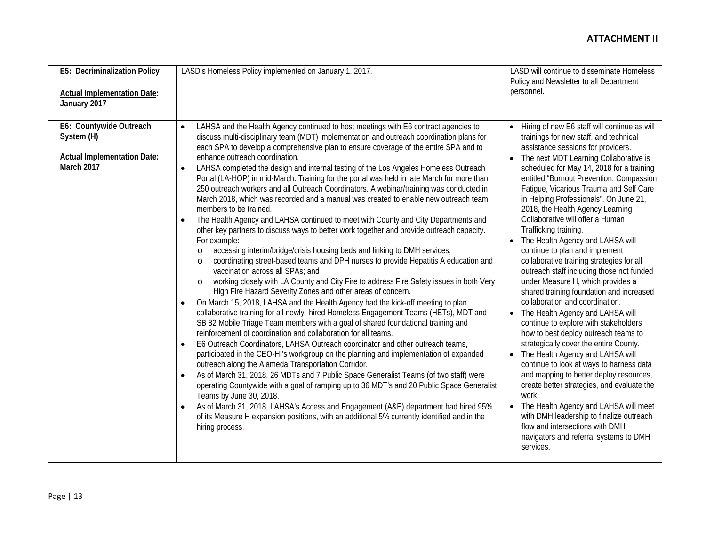| E5: Decriminalization Policy                                                                     | LASD's Homeless Policy implemented on January 1, 2017.                                                                                                                                                                                                                                                                                                                                                                                                                                                                                                                                                                                                                                                                                                                                                                                                                                                                                                                                                                                                                                                                                                                                                                                                                                                                                                                                                                                                                                                                                                                                                                                                                                                                                                                                                                                                                                                                                                                                                                                                                                                                                                                                                                                                                                                                                                              | LASD will continue to disseminate Homeless<br>Policy and Newsletter to all Department                                                                                                                                                                                                                                                                                                                                                                                                                                                                                                                                                                                                                                                                                                                                                                                                                                                                                                                                                                                                                                                                                                                                                                                                               |
|--------------------------------------------------------------------------------------------------|---------------------------------------------------------------------------------------------------------------------------------------------------------------------------------------------------------------------------------------------------------------------------------------------------------------------------------------------------------------------------------------------------------------------------------------------------------------------------------------------------------------------------------------------------------------------------------------------------------------------------------------------------------------------------------------------------------------------------------------------------------------------------------------------------------------------------------------------------------------------------------------------------------------------------------------------------------------------------------------------------------------------------------------------------------------------------------------------------------------------------------------------------------------------------------------------------------------------------------------------------------------------------------------------------------------------------------------------------------------------------------------------------------------------------------------------------------------------------------------------------------------------------------------------------------------------------------------------------------------------------------------------------------------------------------------------------------------------------------------------------------------------------------------------------------------------------------------------------------------------------------------------------------------------------------------------------------------------------------------------------------------------------------------------------------------------------------------------------------------------------------------------------------------------------------------------------------------------------------------------------------------------------------------------------------------------------------------------------------------------|-----------------------------------------------------------------------------------------------------------------------------------------------------------------------------------------------------------------------------------------------------------------------------------------------------------------------------------------------------------------------------------------------------------------------------------------------------------------------------------------------------------------------------------------------------------------------------------------------------------------------------------------------------------------------------------------------------------------------------------------------------------------------------------------------------------------------------------------------------------------------------------------------------------------------------------------------------------------------------------------------------------------------------------------------------------------------------------------------------------------------------------------------------------------------------------------------------------------------------------------------------------------------------------------------------|
| <b>Actual Implementation Date:</b><br>January 2017                                               |                                                                                                                                                                                                                                                                                                                                                                                                                                                                                                                                                                                                                                                                                                                                                                                                                                                                                                                                                                                                                                                                                                                                                                                                                                                                                                                                                                                                                                                                                                                                                                                                                                                                                                                                                                                                                                                                                                                                                                                                                                                                                                                                                                                                                                                                                                                                                                     | personnel.                                                                                                                                                                                                                                                                                                                                                                                                                                                                                                                                                                                                                                                                                                                                                                                                                                                                                                                                                                                                                                                                                                                                                                                                                                                                                          |
| E6: Countywide Outreach<br>System (H)<br><b>Actual Implementation Date:</b><br><b>March 2017</b> | LAHSA and the Health Agency continued to host meetings with E6 contract agencies to<br>discuss multi-disciplinary team (MDT) implementation and outreach coordination plans for<br>each SPA to develop a comprehensive plan to ensure coverage of the entire SPA and to<br>enhance outreach coordination.<br>LAHSA completed the design and internal testing of the Los Angeles Homeless Outreach<br>$\bullet$<br>Portal (LA-HOP) in mid-March. Training for the portal was held in late March for more than<br>250 outreach workers and all Outreach Coordinators. A webinar/training was conducted in<br>March 2018, which was recorded and a manual was created to enable new outreach team<br>members to be trained.<br>The Health Agency and LAHSA continued to meet with County and City Departments and<br>$\bullet$<br>other key partners to discuss ways to better work together and provide outreach capacity.<br>For example:<br>accessing interim/bridge/crisis housing beds and linking to DMH services;<br>$\circ$<br>coordinating street-based teams and DPH nurses to provide Hepatitis A education and<br>$\Omega$<br>vaccination across all SPAs; and<br>working closely with LA County and City Fire to address Fire Safety issues in both Very<br>$\circ$<br>High Fire Hazard Severity Zones and other areas of concern.<br>On March 15, 2018, LAHSA and the Health Agency had the kick-off meeting to plan<br>collaborative training for all newly- hired Homeless Engagement Teams (HETs), MDT and<br>SB 82 Mobile Triage Team members with a goal of shared foundational training and<br>reinforcement of coordination and collaboration for all teams.<br>E6 Outreach Coordinators, LAHSA Outreach coordinator and other outreach teams,<br>$\bullet$<br>participated in the CEO-HI's workgroup on the planning and implementation of expanded<br>outreach along the Alameda Transportation Corridor.<br>As of March 31, 2018, 26 MDTs and 7 Public Space Generalist Teams (of two staff) were<br>$\bullet$<br>operating Countywide with a goal of ramping up to 36 MDT's and 20 Public Space Generalist<br>Teams by June 30, 2018.<br>As of March 31, 2018, LAHSA's Access and Engagement (A&E) department had hired 95%<br>of its Measure H expansion positions, with an additional 5% currently identified and in the<br>hiring process. | Hiring of new E6 staff will continue as will<br>trainings for new staff, and technical<br>assistance sessions for providers.<br>The next MDT Learning Collaborative is<br>scheduled for May 14, 2018 for a training<br>entitled "Burnout Prevention: Compassion<br>Fatigue, Vicarious Trauma and Self Care<br>in Helping Professionals". On June 21,<br>2018, the Health Agency Learning<br>Collaborative will offer a Human<br>Trafficking training.<br>The Health Agency and LAHSA will<br>$\bullet$<br>continue to plan and implement<br>collaborative training strategies for all<br>outreach staff including those not funded<br>under Measure H, which provides a<br>shared training foundation and increased<br>collaboration and coordination.<br>The Health Agency and LAHSA will<br>continue to explore with stakeholders<br>how to best deploy outreach teams to<br>strategically cover the entire County.<br>The Health Agency and LAHSA will<br>continue to look at ways to harness data<br>and mapping to better deploy resources,<br>create better strategies, and evaluate the<br>work.<br>The Health Agency and LAHSA will meet<br>$\bullet$<br>with DMH leadership to finalize outreach<br>flow and intersections with DMH<br>navigators and referral systems to DMH<br>services. |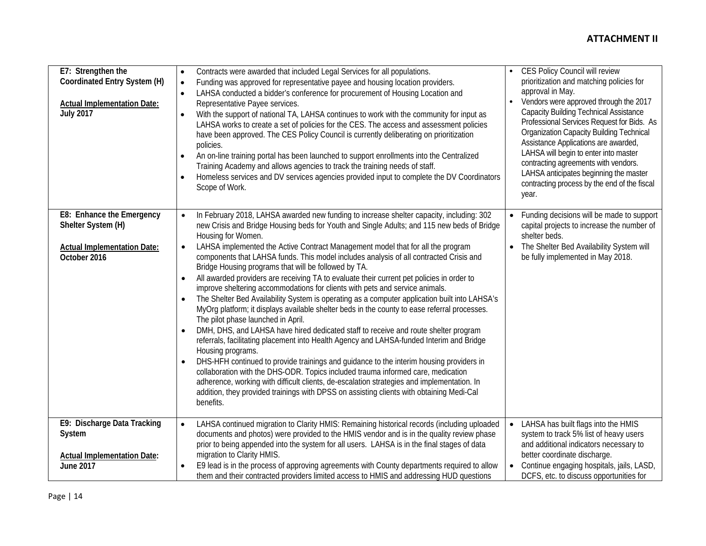| E7: Strengthen the<br>Coordinated Entry System (H)<br><b>Actual Implementation Date:</b><br><b>July 2017</b> | Contracts were awarded that included Legal Services for all populations.<br>$\bullet$<br>Funding was approved for representative payee and housing location providers.<br>$\bullet$<br>LAHSA conducted a bidder's conference for procurement of Housing Location and<br>$\bullet$<br>Representative Payee services.<br>With the support of national TA, LAHSA continues to work with the community for input as<br>$\bullet$<br>LAHSA works to create a set of policies for the CES. The access and assessment policies<br>have been approved. The CES Policy Council is currently deliberating on prioritization<br>policies.<br>An on-line training portal has been launched to support enrollments into the Centralized<br>$\bullet$<br>Training Academy and allows agencies to track the training needs of staff.<br>Homeless services and DV services agencies provided input to complete the DV Coordinators<br>$\bullet$<br>Scope of Work.                                                                                                                                                                                                                                                                                                                                                                                                                                                                                                                                                                                    | CES Policy Council will review<br>$\bullet$<br>prioritization and matching policies for<br>approval in May.<br>Vendors were approved through the 2017<br><b>Capacity Building Technical Assistance</b><br>Professional Services Request for Bids. As<br><b>Organization Capacity Building Technical</b><br>Assistance Applications are awarded,<br>LAHSA will begin to enter into master<br>contracting agreements with vendors.<br>LAHSA anticipates beginning the master<br>contracting process by the end of the fiscal<br>year. |
|--------------------------------------------------------------------------------------------------------------|--------------------------------------------------------------------------------------------------------------------------------------------------------------------------------------------------------------------------------------------------------------------------------------------------------------------------------------------------------------------------------------------------------------------------------------------------------------------------------------------------------------------------------------------------------------------------------------------------------------------------------------------------------------------------------------------------------------------------------------------------------------------------------------------------------------------------------------------------------------------------------------------------------------------------------------------------------------------------------------------------------------------------------------------------------------------------------------------------------------------------------------------------------------------------------------------------------------------------------------------------------------------------------------------------------------------------------------------------------------------------------------------------------------------------------------------------------------------------------------------------------------------------------------|-------------------------------------------------------------------------------------------------------------------------------------------------------------------------------------------------------------------------------------------------------------------------------------------------------------------------------------------------------------------------------------------------------------------------------------------------------------------------------------------------------------------------------------|
| E8: Enhance the Emergency<br>Shelter System (H)<br><b>Actual Implementation Date:</b><br>October 2016        | In February 2018, LAHSA awarded new funding to increase shelter capacity, including: 302<br>$\bullet$<br>new Crisis and Bridge Housing beds for Youth and Single Adults; and 115 new beds of Bridge<br>Housing for Women.<br>LAHSA implemented the Active Contract Management model that for all the program<br>$\bullet$<br>components that LAHSA funds. This model includes analysis of all contracted Crisis and<br>Bridge Housing programs that will be followed by TA.<br>All awarded providers are receiving TA to evaluate their current pet policies in order to<br>$\bullet$<br>improve sheltering accommodations for clients with pets and service animals.<br>The Shelter Bed Availability System is operating as a computer application built into LAHSA's<br>$\bullet$<br>MyOrg platform; it displays available shelter beds in the county to ease referral processes.<br>The pilot phase launched in April.<br>DMH, DHS, and LAHSA have hired dedicated staff to receive and route shelter program<br>referrals, facilitating placement into Health Agency and LAHSA-funded Interim and Bridge<br>Housing programs.<br>DHS-HFH continued to provide trainings and guidance to the interim housing providers in<br>$\bullet$<br>collaboration with the DHS-ODR. Topics included trauma informed care, medication<br>adherence, working with difficult clients, de-escalation strategies and implementation. In<br>addition, they provided trainings with DPSS on assisting clients with obtaining Medi-Cal<br>benefits. | Funding decisions will be made to support<br>$\bullet$<br>capital projects to increase the number of<br>shelter beds.<br>The Shelter Bed Availability System will<br>be fully implemented in May 2018.                                                                                                                                                                                                                                                                                                                              |
| E9: Discharge Data Tracking<br>System<br><b>Actual Implementation Date:</b><br><b>June 2017</b>              | LAHSA continued migration to Clarity HMIS: Remaining historical records (including uploaded<br>$\bullet$<br>documents and photos) were provided to the HMIS vendor and is in the quality review phase<br>prior to being appended into the system for all users. LAHSA is in the final stages of data<br>migration to Clarity HMIS.<br>E9 lead is in the process of approving agreements with County departments required to allow<br>them and their contracted providers limited access to HMIS and addressing HUD questions                                                                                                                                                                                                                                                                                                                                                                                                                                                                                                                                                                                                                                                                                                                                                                                                                                                                                                                                                                                                         | LAHSA has built flags into the HMIS<br>$\bullet$<br>system to track 5% list of heavy users<br>and additional indicators necessary to<br>better coordinate discharge.<br>Continue engaging hospitals, jails, LASD,<br>DCFS, etc. to discuss opportunities for                                                                                                                                                                                                                                                                        |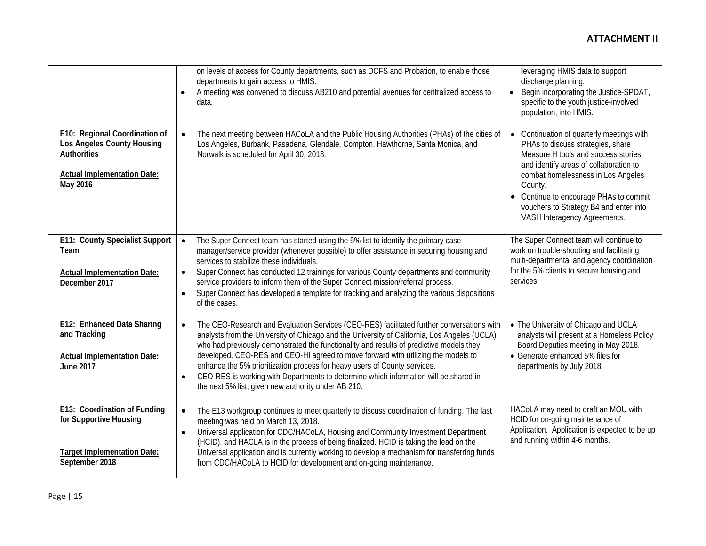|                                                                                                                                     | on levels of access for County departments, such as DCFS and Probation, to enable those<br>departments to gain access to HMIS.<br>A meeting was convened to discuss AB210 and potential avenues for centralized access to<br>$\bullet$<br>data.                                                                                                                                                                                                                                                                                                                                                                                 | leveraging HMIS data to support<br>discharge planning.<br>Begin incorporating the Justice-SPDAT,<br>$\bullet$<br>specific to the youth justice-involved<br>population, into HMIS.                                                                                                                                                   |
|-------------------------------------------------------------------------------------------------------------------------------------|---------------------------------------------------------------------------------------------------------------------------------------------------------------------------------------------------------------------------------------------------------------------------------------------------------------------------------------------------------------------------------------------------------------------------------------------------------------------------------------------------------------------------------------------------------------------------------------------------------------------------------|-------------------------------------------------------------------------------------------------------------------------------------------------------------------------------------------------------------------------------------------------------------------------------------------------------------------------------------|
| E10: Regional Coordination of<br>Los Angeles County Housing<br><b>Authorities</b><br><b>Actual Implementation Date:</b><br>May 2016 | The next meeting between HACoLA and the Public Housing Authorities (PHAs) of the cities of<br>$\bullet$<br>Los Angeles, Burbank, Pasadena, Glendale, Compton, Hawthorne, Santa Monica, and<br>Norwalk is scheduled for April 30, 2018.                                                                                                                                                                                                                                                                                                                                                                                          | Continuation of quarterly meetings with<br>PHAs to discuss strategies, share<br>Measure H tools and success stories,<br>and identify areas of collaboration to<br>combat homelessness in Los Angeles<br>County.<br>• Continue to encourage PHAs to commit<br>vouchers to Strategy B4 and enter into<br>VASH Interagency Agreements. |
| E11: County Specialist Support<br>Team<br><b>Actual Implementation Date:</b><br>December 2017                                       | The Super Connect team has started using the 5% list to identify the primary case<br>$\bullet$<br>manager/service provider (whenever possible) to offer assistance in securing housing and<br>services to stabilize these individuals.<br>Super Connect has conducted 12 trainings for various County departments and community<br>$\bullet$<br>service providers to inform them of the Super Connect mission/referral process.<br>Super Connect has developed a template for tracking and analyzing the various dispositions<br>$\bullet$<br>of the cases.                                                                     | The Super Connect team will continue to<br>work on trouble-shooting and facilitating<br>multi-departmental and agency coordination<br>for the 5% clients to secure housing and<br>services.                                                                                                                                         |
| E12: Enhanced Data Sharing<br>and Tracking<br><b>Actual Implementation Date:</b><br><b>June 2017</b>                                | The CEO-Research and Evaluation Services (CEO-RES) facilitated further conversations with<br>$\bullet$<br>analysts from the University of Chicago and the University of California, Los Angeles (UCLA)<br>who had previously demonstrated the functionality and results of predictive models they<br>developed. CEO-RES and CEO-HI agreed to move forward with utilizing the models to<br>enhance the 5% prioritization process for heavy users of County services.<br>CEO-RES is working with Departments to determine which information will be shared in<br>$\bullet$<br>the next 5% list, given new authority under AB 210. | • The University of Chicago and UCLA<br>analysts will present at a Homeless Policy<br>Board Deputies meeting in May 2018.<br>• Generate enhanced 5% files for<br>departments by July 2018.                                                                                                                                          |
| E13: Coordination of Funding<br>for Supportive Housing<br><b>Target Implementation Date:</b><br>September 2018                      | The E13 workgroup continues to meet quarterly to discuss coordination of funding. The last<br>$\bullet$<br>meeting was held on March 13, 2018.<br>Universal application for CDC/HACoLA, Housing and Community Investment Department<br>$\bullet$<br>(HCID), and HACLA is in the process of being finalized. HCID is taking the lead on the<br>Universal application and is currently working to develop a mechanism for transferring funds<br>from CDC/HACoLA to HCID for development and on-going maintenance.                                                                                                                 | HACoLA may need to draft an MOU with<br>HCID for on-going maintenance of<br>Application. Application is expected to be up<br>and running within 4-6 months.                                                                                                                                                                         |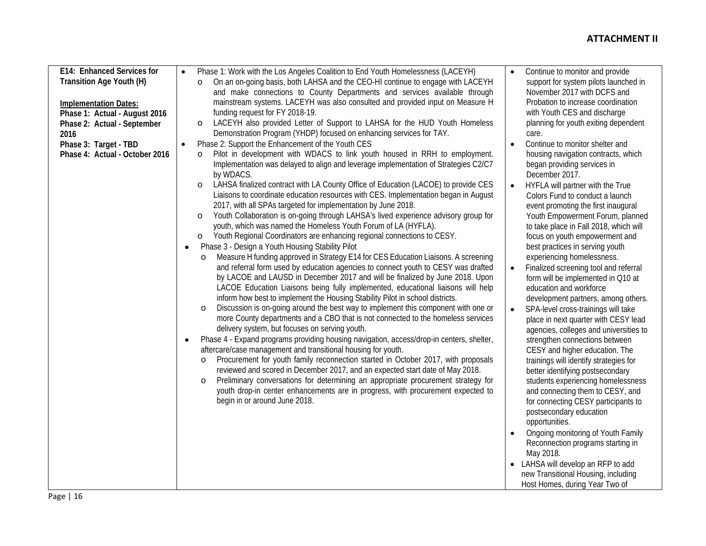| E14: Enhanced Services for     | Phase 1: Work with the Los Angeles Coalition to End Youth Homelessness (LACEYH)<br>$\bullet$   | Continue to monitor and provide               |  |
|--------------------------------|------------------------------------------------------------------------------------------------|-----------------------------------------------|--|
| Transition Age Youth (H)       | On an on-going basis, both LAHSA and the CEO-HI continue to engage with LACEYH<br>$\circ$      | support for system pilots launched in         |  |
|                                | and make connections to County Departments and services available through                      | November 2017 with DCFS and                   |  |
| <b>Implementation Dates:</b>   | mainstream systems. LACEYH was also consulted and provided input on Measure H                  | Probation to increase coordination            |  |
| Phase 1: Actual - August 2016  | funding request for FY 2018-19.                                                                | with Youth CES and discharge                  |  |
| Phase 2: Actual - September    | LACEYH also provided Letter of Support to LAHSA for the HUD Youth Homeless<br>$\circ$          | planning for youth exiting dependent          |  |
| 2016                           | Demonstration Program (YHDP) focused on enhancing services for TAY.                            | care.                                         |  |
| Phase 3: Target - TBD          | Phase 2: Support the Enhancement of the Youth CES<br>$\bullet$                                 | Continue to monitor shelter and               |  |
| Phase 4: Actual - October 2016 | Pilot in development with WDACS to link youth housed in RRH to employment.<br>$\circ$          | housing navigation contracts, which           |  |
|                                | Implementation was delayed to align and leverage implementation of Strategies C2/C7            | began providing services in                   |  |
|                                | by WDACS.                                                                                      | December 2017.                                |  |
|                                | LAHSA finalized contract with LA County Office of Education (LACOE) to provide CES<br>$\circ$  | HYFLA will partner with the True<br>$\bullet$ |  |
|                                | Liaisons to coordinate education resources with CES. Implementation began in August            | Colors Fund to conduct a launch               |  |
|                                | 2017, with all SPAs targeted for implementation by June 2018.                                  | event promoting the first inaugural           |  |
|                                | Youth Collaboration is on-going through LAHSA's lived experience advisory group for<br>$\circ$ | Youth Empowerment Forum, planned              |  |
|                                | youth, which was named the Homeless Youth Forum of LA (HYFLA).                                 | to take place in Fall 2018, which will        |  |
|                                | Youth Regional Coordinators are enhancing regional connections to CESY.<br>O                   | focus on youth empowerment and                |  |
|                                | Phase 3 - Design a Youth Housing Stability Pilot<br>$\bullet$                                  | best practices in serving youth               |  |
|                                | Measure H funding approved in Strategy E14 for CES Education Liaisons. A screening<br>$\circ$  | experiencing homelessness.                    |  |
|                                | and referral form used by education agencies to connect youth to CESY was drafted              | Finalized screening tool and referral         |  |
|                                | by LACOE and LAUSD in December 2017 and will be finalized by June 2018. Upon                   | form will be implemented in Q10 at            |  |
|                                | LACOE Education Liaisons being fully implemented, educational liaisons will help               | education and workforce                       |  |
|                                | inform how best to implement the Housing Stability Pilot in school districts.                  | development partners, among others.           |  |
|                                | Discussion is on-going around the best way to implement this component with one or<br>$\circ$  | SPA-level cross-trainings will take           |  |
|                                | more County departments and a CBO that is not connected to the homeless services               | place in next quarter with CESY lead          |  |
|                                | delivery system, but focuses on serving youth.                                                 | agencies, colleges and universities to        |  |
|                                | Phase 4 - Expand programs providing housing navigation, access/drop-in centers, shelter,       | strengthen connections between                |  |
|                                | aftercare/case management and transitional housing for youth.                                  | CESY and higher education. The                |  |
|                                | Procurement for youth family reconnection started in October 2017, with proposals<br>$\circ$   | trainings will identify strategies for        |  |
|                                | reviewed and scored in December 2017, and an expected start date of May 2018.                  | better identifying postsecondary              |  |
|                                | Preliminary conversations for determining an appropriate procurement strategy for<br>$\circ$   | students experiencing homelessness            |  |
|                                | youth drop-in center enhancements are in progress, with procurement expected to                | and connecting them to CESY, and              |  |
|                                | begin in or around June 2018.                                                                  | for connecting CESY participants to           |  |
|                                |                                                                                                | postsecondary education                       |  |
|                                |                                                                                                | opportunities.                                |  |
|                                |                                                                                                | Ongoing monitoring of Youth Family            |  |
|                                |                                                                                                | Reconnection programs starting in             |  |
|                                |                                                                                                | May 2018.                                     |  |
|                                |                                                                                                | LAHSA will develop an RFP to add              |  |
|                                |                                                                                                | new Transitional Housing, including           |  |
|                                |                                                                                                | Host Homes, during Year Two of                |  |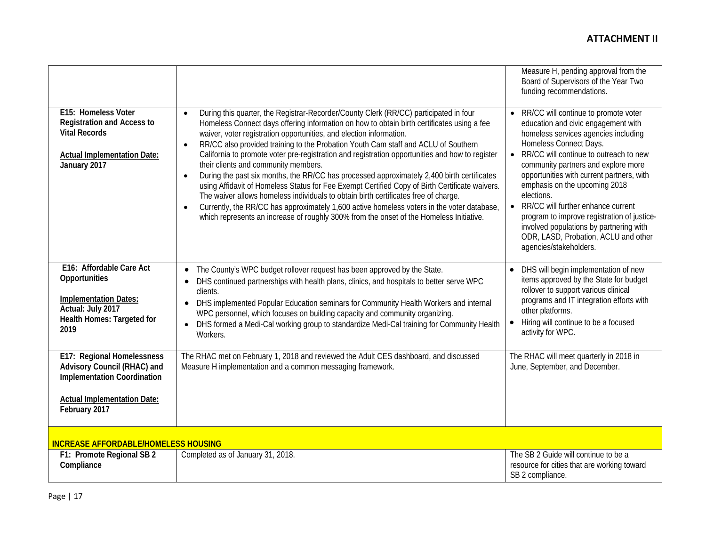|                                                                                                                                                        |                                                                                                                                                                                                                                                                                                                                                                                                                                                                                                                                                                                                                                                                                                                                                                                                                                                                                                                                                                                                                    | Measure H, pending approval from the<br>Board of Supervisors of the Year Two<br>funding recommendations.                                                                                                                                                                                                                                                                                                                                                                                                                                               |
|--------------------------------------------------------------------------------------------------------------------------------------------------------|--------------------------------------------------------------------------------------------------------------------------------------------------------------------------------------------------------------------------------------------------------------------------------------------------------------------------------------------------------------------------------------------------------------------------------------------------------------------------------------------------------------------------------------------------------------------------------------------------------------------------------------------------------------------------------------------------------------------------------------------------------------------------------------------------------------------------------------------------------------------------------------------------------------------------------------------------------------------------------------------------------------------|--------------------------------------------------------------------------------------------------------------------------------------------------------------------------------------------------------------------------------------------------------------------------------------------------------------------------------------------------------------------------------------------------------------------------------------------------------------------------------------------------------------------------------------------------------|
| E15: Homeless Voter<br><b>Registration and Access to</b><br><b>Vital Records</b><br><b>Actual Implementation Date:</b><br>January 2017                 | During this quarter, the Registrar-Recorder/County Clerk (RR/CC) participated in four<br>Homeless Connect days offering information on how to obtain birth certificates using a fee<br>waiver, voter registration opportunities, and election information.<br>RR/CC also provided training to the Probation Youth Cam staff and ACLU of Southern<br>$\bullet$<br>California to promote voter pre-registration and registration opportunities and how to register<br>their clients and community members.<br>During the past six months, the RR/CC has processed approximately 2,400 birth certificates<br>$\bullet$<br>using Affidavit of Homeless Status for Fee Exempt Certified Copy of Birth Certificate waivers.<br>The waiver allows homeless individuals to obtain birth certificates free of charge.<br>Currently, the RR/CC has approximately 1,600 active homeless voters in the voter database,<br>$\bullet$<br>which represents an increase of roughly 300% from the onset of the Homeless Initiative. | RR/CC will continue to promote voter<br>education and civic engagement with<br>homeless services agencies including<br>Homeless Connect Days.<br>RR/CC will continue to outreach to new<br>$\bullet$<br>community partners and explore more<br>opportunities with current partners, with<br>emphasis on the upcoming 2018<br>elections.<br>RR/CC will further enhance current<br>$\bullet$<br>program to improve registration of justice-<br>involved populations by partnering with<br>ODR, LASD, Probation, ACLU and other<br>agencies/stakeholders. |
| E16: Affordable Care Act<br>Opportunities<br><b>Implementation Dates:</b><br>Actual: July 2017<br>Health Homes: Targeted for<br>2019                   | The County's WPC budget rollover request has been approved by the State.<br>DHS continued partnerships with health plans, clinics, and hospitals to better serve WPC<br>clients.<br>DHS implemented Popular Education seminars for Community Health Workers and internal<br>WPC personnel, which focuses on building capacity and community organizing.<br>DHS formed a Medi-Cal working group to standardize Medi-Cal training for Community Health<br>Workers.                                                                                                                                                                                                                                                                                                                                                                                                                                                                                                                                                   | DHS will begin implementation of new<br>$\bullet$<br>items approved by the State for budget<br>rollover to support various clinical<br>programs and IT integration efforts with<br>other platforms.<br>Hiring will continue to be a focused<br>$\bullet$<br>activity for WPC.                                                                                                                                                                                                                                                                          |
| E17: Regional Homelessness<br>Advisory Council (RHAC) and<br><b>Implementation Coordination</b><br><b>Actual Implementation Date:</b><br>February 2017 | The RHAC met on February 1, 2018 and reviewed the Adult CES dashboard, and discussed<br>Measure H implementation and a common messaging framework.                                                                                                                                                                                                                                                                                                                                                                                                                                                                                                                                                                                                                                                                                                                                                                                                                                                                 | The RHAC will meet quarterly in 2018 in<br>June, September, and December.                                                                                                                                                                                                                                                                                                                                                                                                                                                                              |
| <b>INCREASE AFFORDABLE/HOMELESS HOUSING</b>                                                                                                            |                                                                                                                                                                                                                                                                                                                                                                                                                                                                                                                                                                                                                                                                                                                                                                                                                                                                                                                                                                                                                    |                                                                                                                                                                                                                                                                                                                                                                                                                                                                                                                                                        |
| F1: Promote Regional SB 2<br>Compliance                                                                                                                | Completed as of January 31, 2018.                                                                                                                                                                                                                                                                                                                                                                                                                                                                                                                                                                                                                                                                                                                                                                                                                                                                                                                                                                                  | The SB 2 Guide will continue to be a<br>resource for cities that are working toward<br>SB 2 compliance.                                                                                                                                                                                                                                                                                                                                                                                                                                                |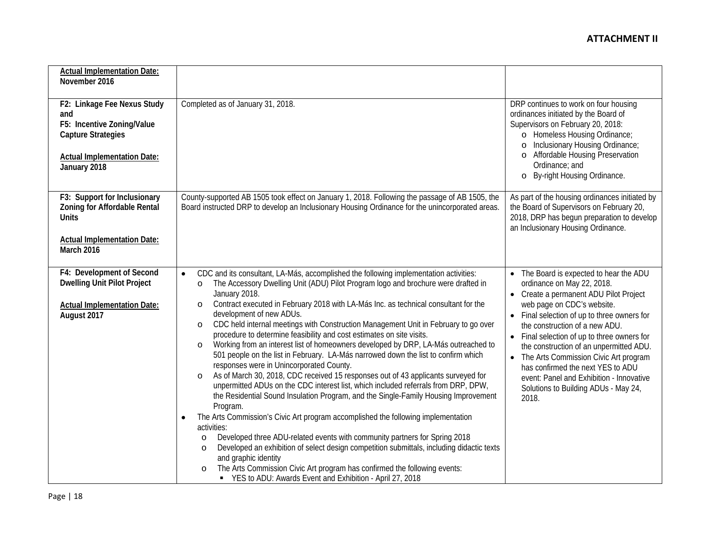| <b>Actual Implementation Date:</b>                                                                                                                  |                                                                                                                                                                                                                                 |                                                                                                                                                                                                                                                                                 |
|-----------------------------------------------------------------------------------------------------------------------------------------------------|---------------------------------------------------------------------------------------------------------------------------------------------------------------------------------------------------------------------------------|---------------------------------------------------------------------------------------------------------------------------------------------------------------------------------------------------------------------------------------------------------------------------------|
| November 2016                                                                                                                                       |                                                                                                                                                                                                                                 |                                                                                                                                                                                                                                                                                 |
|                                                                                                                                                     |                                                                                                                                                                                                                                 |                                                                                                                                                                                                                                                                                 |
| F2: Linkage Fee Nexus Study<br>and<br>F5: Incentive Zoning/Value<br><b>Capture Strategies</b><br><b>Actual Implementation Date:</b><br>January 2018 | Completed as of January 31, 2018.                                                                                                                                                                                               | DRP continues to work on four housing<br>ordinances initiated by the Board of<br>Supervisors on February 20, 2018:<br>o Homeless Housing Ordinance;<br>Inclusionary Housing Ordinance;<br>Affordable Housing Preservation<br>Ordinance; and<br>By-right Housing Ordinance.<br>O |
| F3: Support for Inclusionary                                                                                                                        | County-supported AB 1505 took effect on January 1, 2018. Following the passage of AB 1505, the                                                                                                                                  | As part of the housing ordinances initiated by                                                                                                                                                                                                                                  |
| Zoning for Affordable Rental<br><b>Units</b>                                                                                                        | Board instructed DRP to develop an Inclusionary Housing Ordinance for the unincorporated areas.                                                                                                                                 | the Board of Supervisors on February 20,<br>2018, DRP has begun preparation to develop<br>an Inclusionary Housing Ordinance.                                                                                                                                                    |
| <b>Actual Implementation Date:</b><br>March 2016                                                                                                    |                                                                                                                                                                                                                                 |                                                                                                                                                                                                                                                                                 |
| F4: Development of Second                                                                                                                           | CDC and its consultant, LA-Más, accomplished the following implementation activities:                                                                                                                                           | The Board is expected to hear the ADU                                                                                                                                                                                                                                           |
| <b>Dwelling Unit Pilot Project</b>                                                                                                                  | The Accessory Dwelling Unit (ADU) Pilot Program logo and brochure were drafted in<br>O                                                                                                                                          | ordinance on May 22, 2018.                                                                                                                                                                                                                                                      |
|                                                                                                                                                     | January 2018.                                                                                                                                                                                                                   | • Create a permanent ADU Pilot Project                                                                                                                                                                                                                                          |
| <b>Actual Implementation Date:</b><br>August 2017                                                                                                   | Contract executed in February 2018 with LA-Más Inc. as technical consultant for the<br>$\circ$<br>development of new ADUs.                                                                                                      | web page on CDC's website.<br>Final selection of up to three owners for                                                                                                                                                                                                         |
|                                                                                                                                                     | CDC held internal meetings with Construction Management Unit in February to go over<br>$\circ$                                                                                                                                  | the construction of a new ADU.                                                                                                                                                                                                                                                  |
|                                                                                                                                                     | procedure to determine feasibility and cost estimates on site visits.                                                                                                                                                           | Final selection of up to three owners for                                                                                                                                                                                                                                       |
|                                                                                                                                                     | Working from an interest list of homeowners developed by DRP, LA-Más outreached to<br>$\circ$<br>501 people on the list in February. LA-Más narrowed down the list to confirm which<br>responses were in Unincorporated County. | the construction of an unpermitted ADU.<br>• The Arts Commission Civic Art program                                                                                                                                                                                              |
|                                                                                                                                                     | As of March 30, 2018, CDC received 15 responses out of 43 applicants surveyed for<br>$\circ$                                                                                                                                    | has confirmed the next YES to ADU<br>event: Panel and Exhibition - Innovative                                                                                                                                                                                                   |
|                                                                                                                                                     | unpermitted ADUs on the CDC interest list, which included referrals from DRP, DPW,                                                                                                                                              | Solutions to Building ADUs - May 24,                                                                                                                                                                                                                                            |
|                                                                                                                                                     | the Residential Sound Insulation Program, and the Single-Family Housing Improvement                                                                                                                                             | 2018.                                                                                                                                                                                                                                                                           |
|                                                                                                                                                     | Program.<br>The Arts Commission's Civic Art program accomplished the following implementation<br>٠                                                                                                                              |                                                                                                                                                                                                                                                                                 |
|                                                                                                                                                     | activities:                                                                                                                                                                                                                     |                                                                                                                                                                                                                                                                                 |
|                                                                                                                                                     | Developed three ADU-related events with community partners for Spring 2018<br>$\circ$                                                                                                                                           |                                                                                                                                                                                                                                                                                 |
|                                                                                                                                                     | Developed an exhibition of select design competition submittals, including didactic texts<br>O                                                                                                                                  |                                                                                                                                                                                                                                                                                 |
|                                                                                                                                                     | and graphic identity<br>The Arts Commission Civic Art program has confirmed the following events:<br>$\circ$                                                                                                                    |                                                                                                                                                                                                                                                                                 |
|                                                                                                                                                     | ■ YES to ADU: Awards Event and Exhibition - April 27, 2018                                                                                                                                                                      |                                                                                                                                                                                                                                                                                 |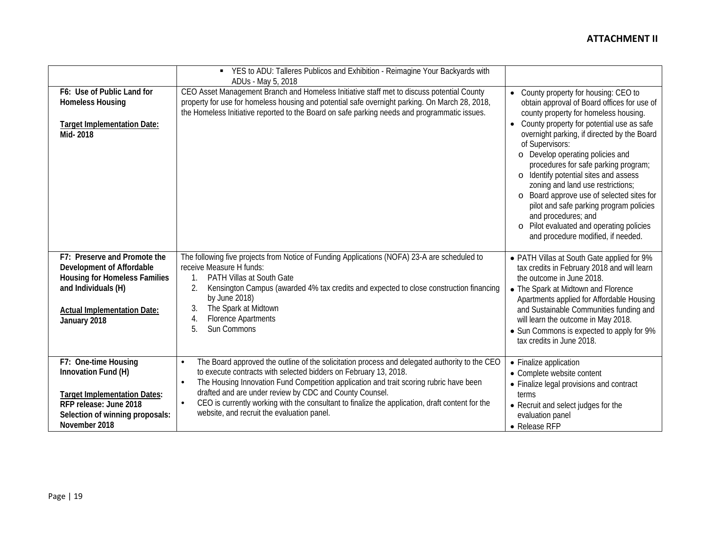|                                                                                                                                                                                | YES to ADU: Talleres Publicos and Exhibition - Reimagine Your Backyards with<br>$\blacksquare$                                                                                                                                                                                                                                                                                                                                                                                                                 |                                                                                                                                                                                                                                                                                                                                                                                                                                                                                                                                                                                                                    |
|--------------------------------------------------------------------------------------------------------------------------------------------------------------------------------|----------------------------------------------------------------------------------------------------------------------------------------------------------------------------------------------------------------------------------------------------------------------------------------------------------------------------------------------------------------------------------------------------------------------------------------------------------------------------------------------------------------|--------------------------------------------------------------------------------------------------------------------------------------------------------------------------------------------------------------------------------------------------------------------------------------------------------------------------------------------------------------------------------------------------------------------------------------------------------------------------------------------------------------------------------------------------------------------------------------------------------------------|
| F6: Use of Public Land for<br><b>Homeless Housing</b><br><b>Target Implementation Date:</b><br>Mid-2018                                                                        | ADUs - May 5, 2018<br>CEO Asset Management Branch and Homeless Initiative staff met to discuss potential County<br>property for use for homeless housing and potential safe overnight parking. On March 28, 2018,<br>the Homeless Initiative reported to the Board on safe parking needs and programmatic issues.                                                                                                                                                                                              | • County property for housing: CEO to<br>obtain approval of Board offices for use of<br>county property for homeless housing.<br>• County property for potential use as safe<br>overnight parking, if directed by the Board<br>of Supervisors:<br>o Develop operating policies and<br>procedures for safe parking program;<br>Identify potential sites and assess<br>$\circ$<br>zoning and land use restrictions;<br>o Board approve use of selected sites for<br>pilot and safe parking program policies<br>and procedures; and<br>o Pilot evaluated and operating policies<br>and procedure modified, if needed. |
| F7: Preserve and Promote the<br>Development of Affordable<br><b>Housing for Homeless Families</b><br>and Individuals (H)<br><b>Actual Implementation Date:</b><br>January 2018 | The following five projects from Notice of Funding Applications (NOFA) 23-A are scheduled to<br>receive Measure H funds:<br><b>PATH Villas at South Gate</b><br>Kensington Campus (awarded 4% tax credits and expected to close construction financing<br>2.<br>by June 2018)<br>The Spark at Midtown<br>3.<br><b>Florence Apartments</b><br>$\overline{4}$<br>5<br>Sun Commons                                                                                                                                | • PATH Villas at South Gate applied for 9%<br>tax credits in February 2018 and will learn<br>the outcome in June 2018.<br>• The Spark at Midtown and Florence<br>Apartments applied for Affordable Housing<br>and Sustainable Communities funding and<br>will learn the outcome in May 2018.<br>• Sun Commons is expected to apply for 9%<br>tax credits in June 2018.                                                                                                                                                                                                                                             |
| F7: One-time Housing<br>Innovation Fund (H)<br><b>Target Implementation Dates:</b><br>RFP release: June 2018<br>Selection of winning proposals:<br>November 2018               | The Board approved the outline of the solicitation process and delegated authority to the CEO<br>$\bullet$<br>to execute contracts with selected bidders on February 13, 2018.<br>The Housing Innovation Fund Competition application and trait scoring rubric have been<br>$\bullet$<br>drafted and are under review by CDC and County Counsel.<br>CEO is currently working with the consultant to finalize the application, draft content for the<br>$\bullet$<br>website, and recruit the evaluation panel. | • Finalize application<br>• Complete website content<br>• Finalize legal provisions and contract<br>terms<br>• Recruit and select judges for the<br>evaluation panel<br>$\bullet$ Release RFP                                                                                                                                                                                                                                                                                                                                                                                                                      |